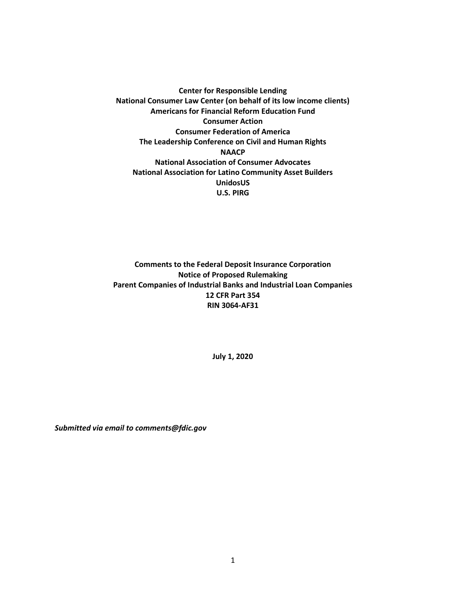**Center for Responsible Lending National Consumer Law Center (on behalf of its low income clients) Americans for Financial Reform Education Fund Consumer Action Consumer Federation of America The Leadership Conference on Civil and Human Rights NAACP National Association of Consumer Advocates National Association for Latino Community Asset Builders UnidosUS U.S. PIRG**

**Comments to the Federal Deposit Insurance Corporation Notice of Proposed Rulemaking Parent Companies of Industrial Banks and Industrial Loan Companies 12 CFR Part 354 RIN 3064-AF31**

**July 1, 2020**

*Submitted via email to comments@fdic.gov*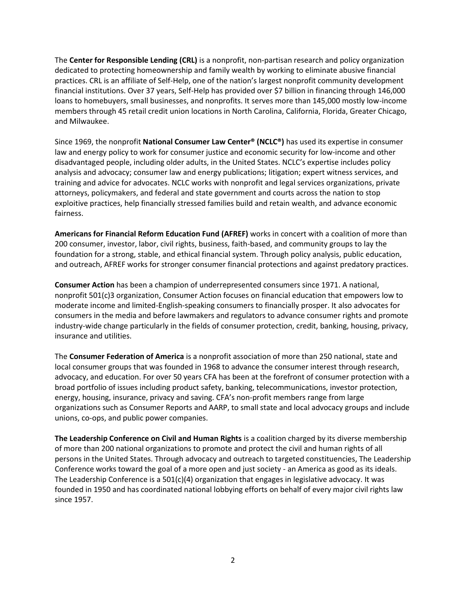The **Center for Responsible Lending (CRL)** is a nonprofit, non-partisan research and policy organization dedicated to protecting homeownership and family wealth by working to eliminate abusive financial practices. CRL is an affiliate of Self-Help, one of the nation's largest nonprofit community development financial institutions. Over 37 years, Self-Help has provided over \$7 billion in financing through 146,000 loans to homebuyers, small businesses, and nonprofits. It serves more than 145,000 mostly low-income members through 45 retail credit union locations in North Carolina, California, Florida, Greater Chicago, and Milwaukee.

Since 1969, the nonprofit **National Consumer Law Center® (NCLC®)** has used its expertise in consumer law and energy policy to work for consumer justice and economic security for low-income and other disadvantaged people, including older adults, in the United States. NCLC's expertise includes policy analysis and advocacy; consumer law and energy publications; litigation; expert witness services, and training and advice for advocates. NCLC works with nonprofit and legal services organizations, private attorneys, policymakers, and federal and state government and courts across the nation to stop exploitive practices, help financially stressed families build and retain wealth, and advance economic fairness.

**Americans for Financial Reform Education Fund (AFREF)** works in concert with a coalition of more than 200 consumer, investor, labor, civil rights, business, faith-based, and community groups to lay the foundation for a strong, stable, and ethical financial system. Through policy analysis, public education, and outreach, AFREF works for stronger consumer financial protections and against predatory practices.

**Consumer Action** has been a champion of underrepresented consumers since 1971. A national, nonprofit 501(c)3 organization, Consumer Action focuses on financial education that empowers low to moderate income and limited-English-speaking consumers to financially prosper. It also advocates for consumers in the media and before lawmakers and regulators to advance consumer rights and promote industry-wide change particularly in the fields of consumer protection, credit, banking, housing, privacy, insurance and utilities.

The **[Consumer Federation of America](file://///CFA-HQ-DC/common/CFA%20Gillis%20Folder/Press%20Releases/consumerfed.org)** is a nonprofit association of more than 250 national, state and local consumer groups that was founded in 1968 to advance the consumer interest through research, advocacy, and education. For over 50 years CFA has been at the forefront of consumer protection with a broad portfolio of issues including product safety, banking, telecommunications, investor protection, energy, housing, insurance, privacy and saving. CFA's non-profit members range from large organizations such as Consumer Reports and AARP, to small state and local advocacy groups and include unions, co-ops, and public power companies.

**The Leadership Conference on Civil and Human Rights** is a coalition charged by its diverse membership of more than 200 national organizations to promote and protect the civil and human rights of all persons in the United States. Through advocacy and outreach to targeted constituencies, The Leadership Conference works toward the goal of a more open and just society - an America as good as its ideals. The Leadership Conference is a  $501(c)(4)$  organization that engages in legislative advocacy. It was founded in 1950 and has coordinated national lobbying efforts on behalf of every major civil rights law since 1957.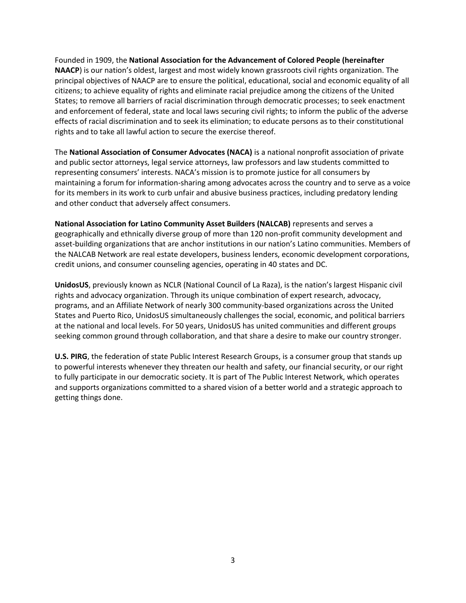Founded in 1909, the **National Association for the Advancement of Colored People (hereinafter NAACP**) is our nation's oldest, largest and most widely known grassroots civil rights organization. The principal objectives of NAACP are to ensure the political, educational, social and economic equality of all citizens; to achieve equality of rights and eliminate racial prejudice among the citizens of the United States; to remove all barriers of racial discrimination through democratic processes; to seek enactment and enforcement of federal, state and local laws securing civil rights; to inform the public of the adverse effects of racial discrimination and to seek its elimination; to educate persons as to their constitutional rights and to take all lawful action to secure the exercise thereof.

The **National Association of Consumer Advocates (NACA)** is a national nonprofit association of private and public sector attorneys, legal service attorneys, law professors and law students committed to representing consumers' interests. NACA's mission is to promote justice for all consumers by maintaining a forum for information-sharing among advocates across the country and to serve as a voice for its members in its work to curb unfair and abusive business practices, including predatory lending and other conduct that adversely affect consumers.

**National Association for Latino Community Asset Builders (NALCAB)** represents and serves a geographically and ethnically diverse group of more than 120 non-profit community development and asset-building organizations that are anchor institutions in our nation's Latino communities. Members of the NALCAB Network are real estate developers, business lenders, economic development corporations, credit unions, and consumer counseling agencies, operating in 40 states and DC.

**UnidosUS**, previously known as NCLR (National Council of La Raza), is the nation's largest Hispanic civil rights and advocacy organization. Through its unique combination of expert research, advocacy, programs, and an [Affiliate Network](https://www.unidosus.org/affiliates/) of nearly 300 community-based organizations across the United States and Puerto Rico, UnidosUS simultaneously challenges the social, economic, and political barriers at the national and local levels. For 50 years, UnidosUS has united communities and different groups seeking common ground through collaboration, and that share a desire to make our country stronger.

**U.S. PIRG**, the federation of state Public Interest Research Groups, is a consumer group that stands up to powerful interests whenever they threaten our health and safety, our financial security, or our right to fully participate in our democratic society. It is part of The Public Interest Network, which operates and supports organizations committed to a shared vision of a better world and a strategic approach to getting things done.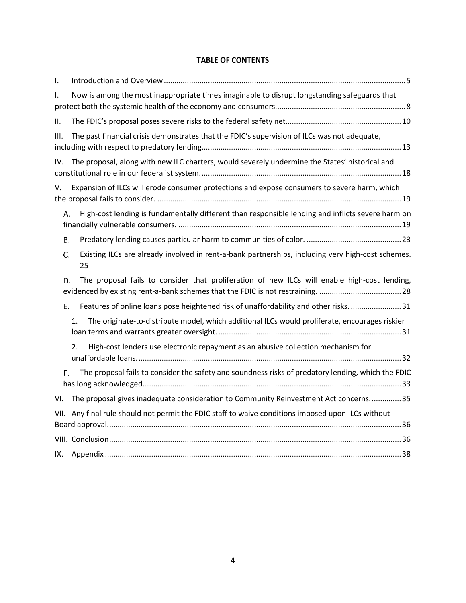# **TABLE OF CONTENTS**

| Ι.        |                                                                                                         |
|-----------|---------------------------------------------------------------------------------------------------------|
| I.        | Now is among the most inappropriate times imaginable to disrupt longstanding safeguards that            |
| П.        |                                                                                                         |
| Ш.        | The past financial crisis demonstrates that the FDIC's supervision of ILCs was not adequate,            |
| IV.       | The proposal, along with new ILC charters, would severely undermine the States' historical and          |
| V.        | Expansion of ILCs will erode consumer protections and expose consumers to severe harm, which            |
| А.        | High-cost lending is fundamentally different than responsible lending and inflicts severe harm on       |
| <b>B.</b> |                                                                                                         |
| C.        | Existing ILCs are already involved in rent-a-bank partnerships, including very high-cost schemes.<br>25 |
| D.        | The proposal fails to consider that proliferation of new ILCs will enable high-cost lending,            |
| Ε.        | Features of online loans pose heightened risk of unaffordability and other risks.  31                   |
|           | The originate-to-distribute model, which additional ILCs would proliferate, encourages riskier<br>1.    |
|           | High-cost lenders use electronic repayment as an abusive collection mechanism for<br>2.                 |
| F.        | The proposal fails to consider the safety and soundness risks of predatory lending, which the FDIC      |
| VI.       | The proposal gives inadequate consideration to Community Reinvestment Act concerns35                    |
|           | VII. Any final rule should not permit the FDIC staff to waive conditions imposed upon ILCs without      |
|           |                                                                                                         |
| IX.       |                                                                                                         |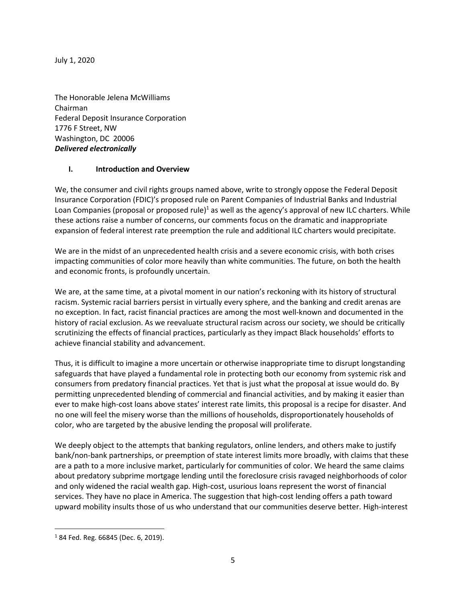July 1, 2020

The Honorable Jelena McWilliams Chairman Federal Deposit Insurance Corporation 1776 F Street, NW Washington, DC 20006 *Delivered electronically*

#### <span id="page-4-0"></span>**I. Introduction and Overview**

We, the consumer and civil rights groups named above, write to strongly oppose the Federal Deposit Insurance Corporation (FDIC)'s proposed rule on Parent Companies of Industrial Banks and Industrial Loan Companies (proposal or proposed rule)<sup>1</sup> as well as the agency's approval of new ILC charters. While these actions raise a number of concerns, our comments focus on the dramatic and inappropriate expansion of federal interest rate preemption the rule and additional ILC charters would precipitate.

We are in the midst of an unprecedented health crisis and a severe economic crisis, with both crises impacting communities of color more heavily than white communities. The future, on both the health and economic fronts, is profoundly uncertain.

We are, at the same time, at a pivotal moment in our nation's reckoning with its history of structural racism. Systemic racial barriers persist in virtually every sphere, and the banking and credit arenas are no exception. In fact, racist financial practices are among the most well-known and documented in the history of racial exclusion. As we reevaluate structural racism across our society, we should be critically scrutinizing the effects of financial practices, particularly as they impact Black households' efforts to achieve financial stability and advancement.

Thus, it is difficult to imagine a more uncertain or otherwise inappropriate time to disrupt longstanding safeguards that have played a fundamental role in protecting both our economy from systemic risk and consumers from predatory financial practices. Yet that is just what the proposal at issue would do. By permitting unprecedented blending of commercial and financial activities, and by making it easier than ever to make high-cost loans above states' interest rate limits, this proposal is a recipe for disaster. And no one will feel the misery worse than the millions of households, disproportionately households of color, who are targeted by the abusive lending the proposal will proliferate.

We deeply object to the attempts that banking regulators, online lenders, and others make to justify bank/non-bank partnerships, or preemption of state interest limits more broadly, with claims that these are a path to a more inclusive market, particularly for communities of color. We heard the same claims about predatory subprime mortgage lending until the foreclosure crisis ravaged neighborhoods of color and only widened the racial wealth gap. High-cost, usurious loans represent the worst of financial services. They have no place in America. The suggestion that high-cost lending offers a path toward upward mobility insults those of us who understand that our communities deserve better. High-interest

 $1$  84 Fed. Reg. 66845 (Dec. 6, 2019).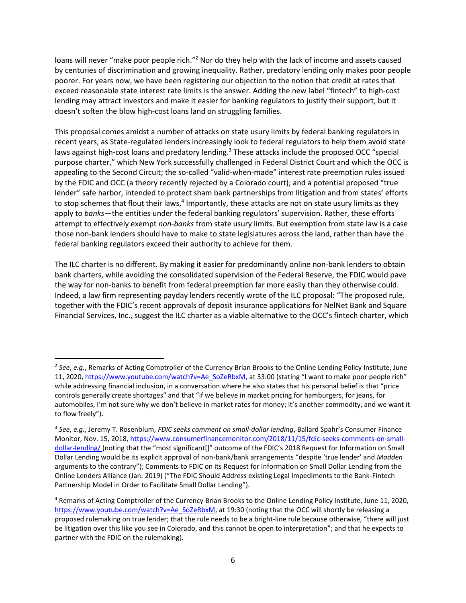loans will never "make poor people rich."<sup>2</sup> Nor do they help with the lack of income and assets caused by centuries of discrimination and growing inequality. Rather, predatory lending only makes poor people poorer. For years now, we have been registering our objection to the notion that credit at rates that exceed reasonable state interest rate limits is the answer. Adding the new label "fintech" to high-cost lending may attract investors and make it easier for banking regulators to justify their support, but it doesn't soften the blow high-cost loans land on struggling families.

This proposal comes amidst a number of attacks on state usury limits by federal banking regulators in recent years, as State-regulated lenders increasingly look to federal regulators to help them avoid state laws against high-cost loans and predatory lending.<sup>3</sup> These attacks include the proposed OCC "special purpose charter," which New York successfully challenged in Federal District Court and which the OCC is appealing to the Second Circuit; the so-called "valid-when-made" interest rate preemption rules issued by the FDIC and OCC (a theory recently rejected by a Colorado court); and a potential proposed "true lender" safe harbor, intended to protect sham bank partnerships from litigation and from states' efforts to stop schemes that flout their laws.<sup>4</sup> Importantly, these attacks are not on state usury limits as they apply to *banks*—the entities under the federal banking regulators' supervision. Rather, these efforts attempt to effectively exempt *non-banks* from state usury limits. But exemption from state law is a case those non-bank lenders should have to make to state legislatures across the land, rather than have the federal banking regulators exceed their authority to achieve for them.

The ILC charter is no different. By making it easier for predominantly online non-bank lenders to obtain bank charters, while avoiding the consolidated supervision of the Federal Reserve, the FDIC would pave the way for non-banks to benefit from federal preemption far more easily than they otherwise could. Indeed, a law firm representing payday lenders recently wrote of the ILC proposal: "The proposed rule, together with the FDIC's recent approvals of deposit insurance applications for NelNet Bank and Square Financial Services, Inc., suggest the ILC charter as a viable alternative to the OCC's fintech charter, which

<sup>2</sup> *See*, *e.g.*, Remarks of Acting Comptroller of the Currency Brian Brooks to the Online Lending Policy Institute, June 11, 2020, [https://www.youtube.com/watch?v=Ae\\_SoZeRbxM,](https://www.youtube.com/watch?v=Ae_SoZeRbxM) at 33:00 (stating "I want to make poor people rich" while addressing financial inclusion, in a conversation where he also states that his personal belief is that "price controls generally create shortages" and that "if we believe in market pricing for hamburgers, for jeans, for automobiles, I'm not sure why we don't believe in market rates for money; it's another commodity, and we want it to flow freely").

<sup>3</sup> *See*, *e.g.*, Jeremy T. Rosenblum, *FDIC seeks comment on small-dollar lending*, Ballard Spahr's Consumer Finance Monitor, Nov. 15, 2018, [https://www.consumerfinancemonitor.com/2018/11/15/fdic-seeks-comments-on-small](https://www.consumerfinancemonitor.com/2018/11/15/fdic-seeks-comments-on-small-dollar-lending/)[dollar-lending/](https://www.consumerfinancemonitor.com/2018/11/15/fdic-seeks-comments-on-small-dollar-lending/) (noting that the "most significant[]" outcome of the FDIC's 2018 Request for Information on Small Dollar Lending would be its explicit approval of non-bank/bank arrangements "despite 'true lender' and *Madden* arguments to the contrary"); Comments to FDIC on its Request for Information on Small Dollar Lending from the Online Lenders Alliance (Jan. 2019) ("The FDIC Should Address existing Legal Impediments to the Bank-Fintech Partnership Model in Order to Facilitate Small Dollar Lending").

<sup>4</sup> Remarks of Acting Comptroller of the Currency Brian Brooks to the Online Lending Policy Institute, June 11, 2020, [https://www.youtube.com/watch?v=Ae\\_SoZeRbxM,](https://www.youtube.com/watch?v=Ae_SoZeRbxM) at 19:30 (noting that the OCC will shortly be releasing a proposed rulemaking on true lender; that the rule needs to be a bright-line rule because otherwise, "there will just be litigation over this like you see in Colorado, and this cannot be open to interpretation"; and that he expects to partner with the FDIC on the rulemaking).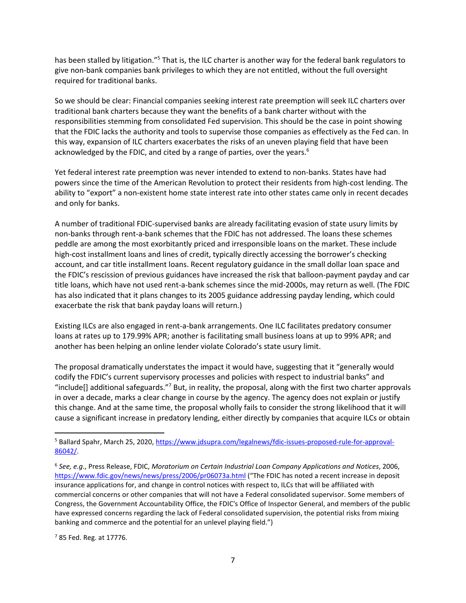has been stalled by litigation."<sup>5</sup> That is, the ILC charter is another way for the federal bank regulators to give non-bank companies bank privileges to which they are not entitled, without the full oversight required for traditional banks.

So we should be clear: Financial companies seeking interest rate preemption will seek ILC charters over traditional bank charters because they want the benefits of a bank charter without with the responsibilities stemming from consolidated Fed supervision. This should be the case in point showing that the FDIC lacks the authority and tools to supervise those companies as effectively as the Fed can. In this way, expansion of ILC charters exacerbates the risks of an uneven playing field that have been acknowledged by the FDIC, and cited by a range of parties, over the years.<sup>6</sup>

Yet federal interest rate preemption was never intended to extend to non-banks. States have had powers since the time of the American Revolution to protect their residents from high-cost lending. The ability to "export" a non-existent home state interest rate into other states came only in recent decades and only for banks.

A number of traditional FDIC-supervised banks are already facilitating evasion of state usury limits by non-banks through rent-a-bank schemes that the FDIC has not addressed. The loans these schemes peddle are among the most exorbitantly priced and irresponsible loans on the market. These include high-cost installment loans and lines of credit, typically directly accessing the borrower's checking account, and car title installment loans. Recent regulatory guidance in the small dollar loan space and the FDIC's rescission of previous guidances have increased the risk that balloon-payment payday and car title loans, which have not used rent-a-bank schemes since the mid-2000s, may return as well. (The FDIC has also indicated that it plans changes to its 2005 guidance addressing payday lending, which could exacerbate the risk that bank payday loans will return.)

Existing ILCs are also engaged in rent-a-bank arrangements. One ILC facilitates predatory consumer loans at rates up to 179.99% APR; another is facilitating small business loans at up to 99% APR; and another has been helping an online lender violate Colorado's state usury limit.

The proposal dramatically understates the impact it would have, suggesting that it "generally would codify the FDIC's current supervisory processes and policies with respect to industrial banks" and "include[] additional safeguards."<sup>7</sup> But, in reality, the proposal, along with the first two charter approvals in over a decade, marks a clear change in course by the agency. The agency does not explain or justify this change. And at the same time, the proposal wholly fails to consider the strong likelihood that it will cause a significant increase in predatory lending, either directly by companies that acquire ILCs or obtain

 $7$  85 Fed. Reg. at 17776.

<sup>5</sup> Ballard Spahr, March 25, 2020, [https://www.jdsupra.com/legalnews/fdic-issues-proposed-rule-for-approval-](https://www.jdsupra.com/legalnews/fdic-issues-proposed-rule-for-approval-86042/)[86042/.](https://www.jdsupra.com/legalnews/fdic-issues-proposed-rule-for-approval-86042/)

<sup>6</sup> *See, e.g*., Press Release, FDIC, *Moratorium on Certain Industrial Loan Company Applications and Notices*, 2006, <https://www.fdic.gov/news/news/press/2006/pr06073a.html> ("The FDIC has noted a recent increase in deposit insurance applications for, and change in control notices with respect to, ILCs that will be affiliated with commercial concerns or other companies that will not have a Federal consolidated supervisor. Some members of Congress, the Government Accountability Office, the FDIC's Office of Inspector General, and members of the public have expressed concerns regarding the lack of Federal consolidated supervision, the potential risks from mixing banking and commerce and the potential for an unlevel playing field.")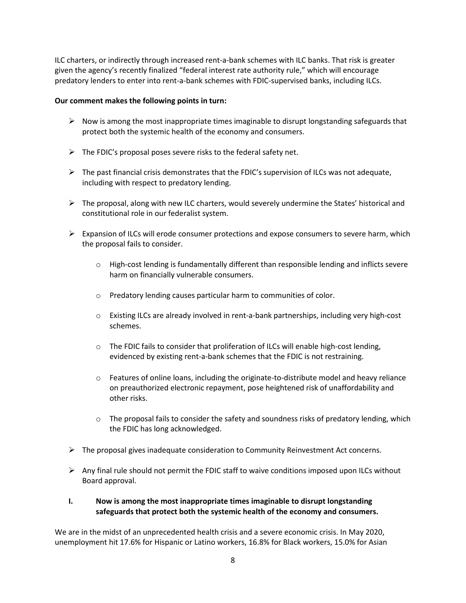ILC charters, or indirectly through increased rent-a-bank schemes with ILC banks. That risk is greater given the agency's recently finalized "federal interest rate authority rule," which will encourage predatory lenders to enter into rent-a-bank schemes with FDIC-supervised banks, including ILCs.

#### **Our comment makes the following points in turn:**

- $\triangleright$  Now is among the most inappropriate times imaginable to disrupt longstanding safeguards that protect both the systemic health of the economy and consumers.
- $\triangleright$  The FDIC's proposal poses severe risks to the federal safety net.
- $\triangleright$  The past financial crisis demonstrates that the FDIC's supervision of ILCs was not adequate, including with respect to predatory lending.
- $\triangleright$  The proposal, along with new ILC charters, would severely undermine the States' historical and constitutional role in our federalist system.
- $\triangleright$  Expansion of ILCs will erode consumer protections and expose consumers to severe harm, which the proposal fails to consider.
	- $\circ$  High-cost lending is fundamentally different than responsible lending and inflicts severe harm on financially vulnerable consumers.
	- o Predatory lending causes particular harm to communities of color.
	- o Existing ILCs are already involved in rent-a-bank partnerships, including very high-cost schemes.
	- o The FDIC fails to consider that proliferation of ILCs will enable high-cost lending, evidenced by existing rent-a-bank schemes that the FDIC is not restraining.
	- $\circ$  Features of online loans, including the originate-to-distribute model and heavy reliance on preauthorized electronic repayment, pose heightened risk of unaffordability and other risks.
	- $\circ$  The proposal fails to consider the safety and soundness risks of predatory lending, which the FDIC has long acknowledged.
- $\triangleright$  The proposal gives inadequate consideration to Community Reinvestment Act concerns.
- $\triangleright$  Any final rule should not permit the FDIC staff to waive conditions imposed upon ILCs without Board approval.
- <span id="page-7-0"></span>**I. Now is among the most inappropriate times imaginable to disrupt longstanding safeguards that protect both the systemic health of the economy and consumers.**

We are in the midst of an unprecedented health crisis and a severe economic crisis. In May 2020, unemployment hit 17.6% for Hispanic or Latino workers, 16.8% for Black workers, 15.0% for Asian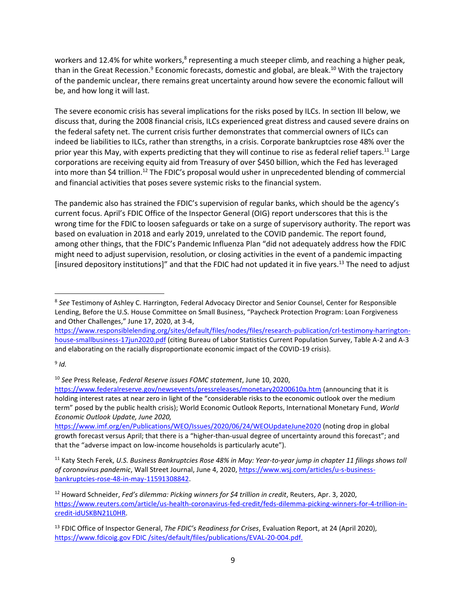workers and 12.4% for white workers,<sup>8</sup> representing a much steeper climb, and reaching a higher peak, than in the Great Recession.<sup>9</sup> Economic forecasts, domestic and global, are bleak.<sup>10</sup> With the trajectory of the pandemic unclear, there remains great uncertainty around how severe the economic fallout will be, and how long it will last.

The severe economic crisis has several implications for the risks posed by ILCs. In section III below, we discuss that, during the 2008 financial crisis, ILCs experienced great distress and caused severe drains on the federal safety net. The current crisis further demonstrates that commercial owners of ILCs can indeed be liabilities to ILCs, rather than strengths, in a crisis. Corporate bankruptcies rose 48% over the prior year this May, with experts predicting that they will continue to rise as federal relief tapers.<sup>11</sup> Large corporations are receiving equity aid from Treasury of over \$450 billion, which the Fed has leveraged into more than \$4 trillion.<sup>12</sup> The FDIC's proposal would usher in unprecedented blending of commercial and financial activities that poses severe systemic risks to the financial system.

The pandemic also has strained the FDIC's supervision of regular banks, which should be the agency's current focus. April's FDIC Office of the Inspector General (OIG) report underscores that this is the wrong time for the FDIC to loosen safeguards or take on a surge of supervisory authority. The report was based on evaluation in 2018 and early 2019, unrelated to the COVID pandemic. The report found, among other things, that the FDIC's Pandemic Influenza Plan "did not adequately address how the FDIC might need to adjust supervision, resolution, or closing activities in the event of a pandemic impacting [insured depository institutions]" and that the FDIC had not updated it in five years.<sup>13</sup> The need to adjust

<sup>8</sup> *See* Testimony of Ashley C. Harrington, Federal Advocacy Director and Senior Counsel, Center for Responsible Lending, Before the U.S. House Committee on Small Business, "Paycheck Protection Program: Loan Forgiveness and Other Challenges," June 17, 2020, at 3-4,

[https://www.responsiblelending.org/sites/default/files/nodes/files/research-publication/crl-testimony-harrington](https://www.responsiblelending.org/sites/default/files/nodes/files/research-publication/crl-testimony-harrington-house-smallbusiness-17jun2020.pdf)[house-smallbusiness-17jun2020.pdf](https://www.responsiblelending.org/sites/default/files/nodes/files/research-publication/crl-testimony-harrington-house-smallbusiness-17jun2020.pdf) (citing Bureau of Labor Statistics Current Population Survey, Table A-2 and A-3 and elaborating on the racially disproportionate economic impact of the COVID-19 crisis).

<sup>9</sup> *Id.*

<sup>10</sup> *See* Press Release, *Federal Reserve issues FOMC statement*, June 10, 2020,

<https://www.federalreserve.gov/newsevents/pressreleases/monetary20200610a.htm> (announcing that it is holding interest rates at near zero in light of the "considerable risks to the economic outlook over the medium term" posed by the public health crisis); World Economic Outlook Reports, International Monetary Fund, *World Economic Outlook Update, June 2020,* 

<https://www.imf.org/en/Publications/WEO/Issues/2020/06/24/WEOUpdateJune2020> (noting drop in global growth forecast versus April; that there is a "higher-than-usual degree of uncertainty around this forecast"; and that the "adverse impact on low-income households is particularly acute").

<sup>11</sup> Katy Stech Ferek, *U.S. Business Bankruptcies Rose 48% in May: Year-to-year jump in chapter 11 filings shows toll of coronavirus pandemic*, Wall Street Journal, June 4, 2020, [https://www.wsj.com/articles/u-s-business](https://www.wsj.com/articles/u-s-business-bankruptcies-rose-48-in-may-11591308842)[bankruptcies-rose-48-in-may-11591308842.](https://www.wsj.com/articles/u-s-business-bankruptcies-rose-48-in-may-11591308842) 

<sup>12</sup> Howard Schneider, *Fed's dilemma: Picking winners for \$4 trillion in credit*, Reuters, Apr. 3, 2020, [https://www.reuters.com/article/us-health-coronavirus-fed-credit/feds-dilemma-picking-winners-for-4-trillion-in](https://www.reuters.com/article/us-health-coronavirus-fed-credit/feds-dilemma-picking-winners-for-4-trillion-in-credit-idUSKBN21L0HR)[credit-idUSKBN21L0HR.](https://www.reuters.com/article/us-health-coronavirus-fed-credit/feds-dilemma-picking-winners-for-4-trillion-in-credit-idUSKBN21L0HR) 

<sup>13</sup> FDIC Office of Inspector General, *The FDIC's Readiness for Crises*, Evaluation Report, at 24 (April 2020), [https://www.fdicoig.gov FDIC /sites/default/files/publications/EVAL-20-004.pdf.](https://www.fdicoig.gov/sites/default/files/publications/EVAL-20-004.pdf)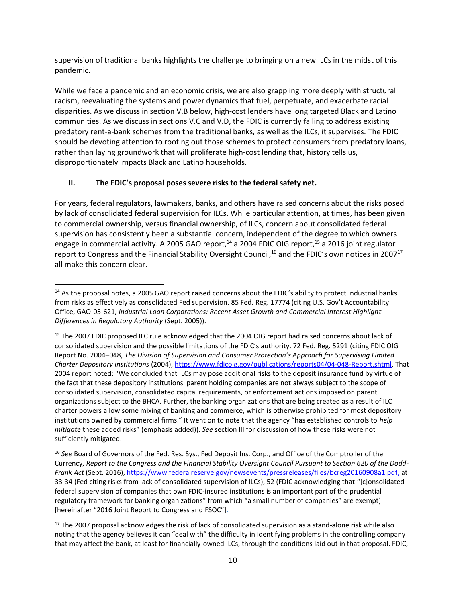supervision of traditional banks highlights the challenge to bringing on a new ILCs in the midst of this pandemic.

While we face a pandemic and an economic crisis, we are also grappling more deeply with structural racism, reevaluating the systems and power dynamics that fuel, perpetuate, and exacerbate racial disparities. As we discuss in section V.B below, high-cost lenders have long targeted Black and Latino communities. As we discuss in sections V.C and V.D, the FDIC is currently failing to address existing predatory rent-a-bank schemes from the traditional banks, as well as the ILCs, it supervises. The FDIC should be devoting attention to rooting out those schemes to protect consumers from predatory loans, rather than laying groundwork that will proliferate high-cost lending that, history tells us, disproportionately impacts Black and Latino households.

## <span id="page-9-0"></span>**II. The FDIC's proposal poses severe risks to the federal safety net.**

For years, federal regulators, lawmakers, banks, and others have raised concerns about the risks posed by lack of consolidated federal supervision for ILCs. While particular attention, at times, has been given to commercial ownership, versus financial ownership, of ILCs, concern about consolidated federal supervision has consistently been a substantial concern, independent of the degree to which owners engage in commercial activity. A 2005 GAO report, $^{14}$  a 2004 FDIC OIG report, $^{15}$  a 2016 joint regulator report to Congress and the Financial Stability Oversight Council,<sup>16</sup> and the FDIC's own notices in 2007<sup>17</sup> all make this concern clear.

<sup>&</sup>lt;sup>14</sup> As the proposal notes, a 2005 GAO report raised concerns about the FDIC's ability to protect industrial banks from risks as effectively as consolidated Fed supervision. 85 Fed. Reg. 17774 (citing U.S. Gov't Accountability Office, GAO-05-621, *Industrial Loan Corporations: Recent Asset Growth and Commercial Interest Highlight Differences in Regulatory Authority* (Sept. 2005)).

<sup>&</sup>lt;sup>15</sup> The 2007 FDIC proposed ILC rule acknowledged that the 2004 OIG report had raised concerns about lack of consolidated supervision and the possible limitations of the FDIC's authority. 72 Fed. Reg. 5291 (citing FDIC OIG Report No. 2004–048, *The Division of Supervision and Consumer Protection's Approach for Supervising Limited Charter Depository Institutions* (2004)[, https://www.fdicoig.gov/publications/reports04/04-048-Report.shtml.](https://www.fdicoig.gov/publications/reports04/04-048-Report.shtml) That 2004 report noted: "We concluded that ILCs may pose additional risks to the deposit insurance fund by virtue of the fact that these depository institutions' parent holding companies are not always subject to the scope of consolidated supervision, consolidated capital requirements, or enforcement actions imposed on parent organizations subject to the BHCA. Further, the banking organizations that are being created as a result of ILC charter powers allow some mixing of banking and commerce, which is otherwise prohibited for most depository institutions owned by commercial firms." It went on to note that the agency "has established controls to *help mitigate* these added risks" (emphasis added)). *See* section III for discussion of how these risks were not sufficiently mitigated.

<sup>16</sup> *See* Board of Governors of the Fed. Res. Sys., Fed Deposit Ins. Corp., and Office of the Comptroller of the Currency, *Report to the Congress and the Financial Stability Oversight Council Pursuant to Section 620 of the Dodd-Frank Act* (Sept. 2016), https://www.federalreserve.gov/newsevents/pressreleases/files/bcreg20160908a1.pdf, at 33-34 (Fed citing risks from lack of consolidated supervision of ILCs), 52 (FDIC acknowledging that "[c]onsolidated federal supervision of companies that own FDIC-insured institutions is an important part of the prudential regulatory framework for banking organizations" from which "a small number of companies" are exempt) [hereinafter "2016 Joint Report to Congress and FSOC"].

 $17$  The 2007 proposal acknowledges the risk of lack of consolidated supervision as a stand-alone risk while also noting that the agency believes it can "deal with" the difficulty in identifying problems in the controlling company that may affect the bank, at least for financially-owned ILCs, through the conditions laid out in that proposal. FDIC,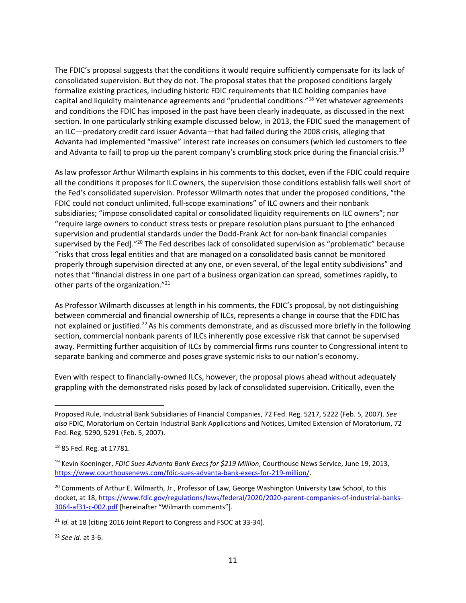The FDIC's proposal suggests that the conditions it would require sufficiently compensate for its lack of consolidated supervision. But they do not. The proposal states that the proposed conditions largely formalize existing practices, including historic FDIC requirements that ILC holding companies have capital and liquidity maintenance agreements and "prudential conditions."<sup>18</sup> Yet whatever agreements and conditions the FDIC has imposed in the past have been clearly inadequate, as discussed in the next section. In one particularly striking example discussed below, in 2013, the FDIC sued the management of an ILC—predatory credit card issuer Advanta—that had failed during the 2008 crisis, alleging that Advanta had implemented "massive" interest rate increases on consumers (which led customers to flee and Advanta to fail) to prop up the parent company's crumbling stock price during the financial crisis.<sup>19</sup>

As law professor Arthur Wilmarth explains in his comments to this docket, even if the FDIC could require all the conditions it proposes for ILC owners, the supervision those conditions establish falls well short of the Fed's consolidated supervision. Professor Wilmarth notes that under the proposed conditions, "the FDIC could not conduct unlimited, full-scope examinations" of ILC owners and their nonbank subsidiaries; "impose consolidated capital or consolidated liquidity requirements on ILC owners"; nor "require large owners to conduct stress tests or prepare resolution plans pursuant to [the enhanced supervision and prudential standards under the Dodd-Frank Act for non-bank financial companies supervised by the Fed]."<sup>20</sup> The Fed describes lack of consolidated supervision as "problematic" because "risks that cross legal entities and that are managed on a consolidated basis cannot be monitored properly through supervision directed at any one, or even several, of the legal entity subdivisions" and notes that "financial distress in one part of a business organization can spread, sometimes rapidly, to other parts of the organization."<sup>21</sup>

As Professor Wilmarth discusses at length in his comments, the FDIC's proposal, by not distinguishing between commercial and financial ownership of ILCs, represents a change in course that the FDIC has not explained or justified.<sup>22</sup> As his comments demonstrate, and as discussed more briefly in the following section, commercial nonbank parents of ILCs inherently pose excessive risk that cannot be supervised away. Permitting further acquisition of ILCs by commercial firms runs counter to Congressional intent to separate banking and commerce and poses grave systemic risks to our nation's economy.

Even with respect to financially-owned ILCs, however, the proposal plows ahead without adequately grappling with the demonstrated risks posed by lack of consolidated supervision. Critically, even the

<sup>22</sup> *See id.* at 3-6.

Proposed Rule, Industrial Bank Subsidiaries of Financial Companies, 72 Fed. Reg. 5217, 5222 (Feb. 5, 2007). *See also* FDIC, Moratorium on Certain Industrial Bank Applications and Notices, Limited Extension of Moratorium, 72 Fed. Reg. 5290, 5291 (Feb. 5, 2007).

<sup>18</sup> 85 Fed. Reg. at 17781.

<sup>19</sup> Kevin Koeninger, *FDIC Sues Advanta Bank Execs for \$219 Million*, Courthouse News Service, June 19, 2013, [https://www.courthousenews.com/fdic-sues-advanta-bank-execs-for-219-million/.](https://www.courthousenews.com/fdic-sues-advanta-bank-execs-for-219-million/)

<sup>&</sup>lt;sup>20</sup> Comments of Arthur E. Wilmarth, Jr., Professor of Law, George Washington University Law School, to this docket, at 18[, https://www.fdic.gov/regulations/laws/federal/2020/2020-parent-companies-of-industrial-banks-](https://www.fdic.gov/regulations/laws/federal/2020/2020-parent-companies-of-industrial-banks-3064-af31-c-002.pdf)[3064-af31-c-002.pdf](https://www.fdic.gov/regulations/laws/federal/2020/2020-parent-companies-of-industrial-banks-3064-af31-c-002.pdf) [hereinafter "Wilmarth comments"].

<sup>&</sup>lt;sup>21</sup> *Id.* at 18 (citing 2016 Joint Report to Congress and FSOC at 33-34).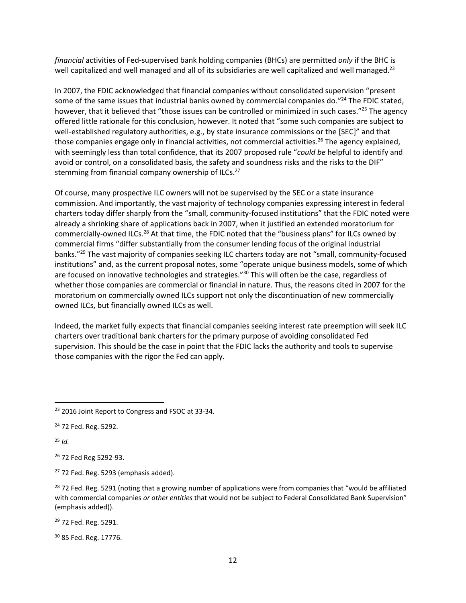*financial* activities of Fed-supervised bank holding companies (BHCs) are permitted *only* if the BHC is well capitalized and well managed and all of its subsidiaries are well capitalized and well managed.<sup>23</sup>

In 2007, the FDIC acknowledged that financial companies without consolidated supervision "present some of the same issues that industrial banks owned by commercial companies do.<sup>"24</sup> The FDIC stated, however, that it believed that "those issues can be controlled or minimized in such cases."<sup>25</sup> The agency offered little rationale for this conclusion, however. It noted that "some such companies are subject to well-established regulatory authorities, e.g., by state insurance commissions or the [SEC]" and that those companies engage only in financial activities, not commercial activities.<sup>26</sup> The agency explained, with seemingly less than total confidence, that its 2007 proposed rule "*could be* helpful to identify and avoid or control, on a consolidated basis, the safety and soundness risks and the risks to the DIF" stemming from financial company ownership of ILCs.<sup>27</sup>

Of course, many prospective ILC owners will not be supervised by the SEC or a state insurance commission. And importantly, the vast majority of technology companies expressing interest in federal charters today differ sharply from the "small, community-focused institutions" that the FDIC noted were already a shrinking share of applications back in 2007, when it justified an extended moratorium for commercially-owned ILCs.<sup>28</sup> At that time, the FDIC noted that the "business plans" for ILCs owned by commercial firms "differ substantially from the consumer lending focus of the original industrial banks."<sup>29</sup> The vast majority of companies seeking ILC charters today are not "small, community-focused institutions" and, as the current proposal notes, some "operate unique business models, some of which are focused on innovative technologies and strategies."<sup>30</sup> This will often be the case, regardless of whether those companies are commercial or financial in nature. Thus, the reasons cited in 2007 for the moratorium on commercially owned ILCs support not only the discontinuation of new commercially owned ILCs, but financially owned ILCs as well.

Indeed, the market fully expects that financial companies seeking interest rate preemption will seek ILC charters over traditional bank charters for the primary purpose of avoiding consolidated Fed supervision. This should be the case in point that the FDIC lacks the authority and tools to supervise those companies with the rigor the Fed can apply.

<sup>25</sup> *Id.*

<sup>29</sup> 72 Fed. Reg. 5291.

<sup>30</sup> 85 Fed. Reg. 17776.

<sup>&</sup>lt;sup>23</sup> 2016 Joint Report to Congress and FSOC at 33-34.

<sup>24</sup> 72 Fed. Reg. 5292.

<sup>26</sup> 72 Fed Reg 5292-93.

 $27$  72 Fed. Reg. 5293 (emphasis added).

 $28$  72 Fed. Reg. 5291 (noting that a growing number of applications were from companies that "would be affiliated with commercial companies *or other entities* that would not be subject to Federal Consolidated Bank Supervision" (emphasis added)).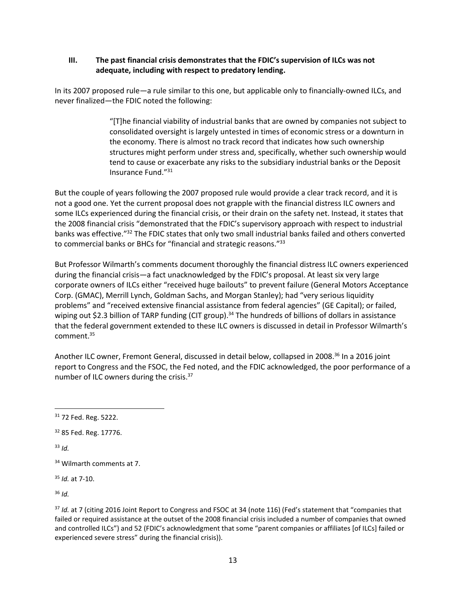#### <span id="page-12-0"></span>**III. The past financial crisis demonstrates that the FDIC's supervision of ILCs was not adequate, including with respect to predatory lending.**

In its 2007 proposed rule—a rule similar to this one, but applicable only to financially-owned ILCs, and never finalized—the FDIC noted the following:

> "[T]he financial viability of industrial banks that are owned by companies not subject to consolidated oversight is largely untested in times of economic stress or a downturn in the economy. There is almost no track record that indicates how such ownership structures might perform under stress and, specifically, whether such ownership would tend to cause or exacerbate any risks to the subsidiary industrial banks or the Deposit Insurance Fund."<sup>31</sup>

But the couple of years following the 2007 proposed rule would provide a clear track record, and it is not a good one. Yet the current proposal does not grapple with the financial distress ILC owners and some ILCs experienced during the financial crisis, or their drain on the safety net. Instead, it states that the 2008 financial crisis "demonstrated that the FDIC's supervisory approach with respect to industrial banks was effective."<sup>32</sup> The FDIC states that only two small industrial banks failed and others converted to commercial banks or BHCs for "financial and strategic reasons."<sup>33</sup>

But Professor Wilmarth's comments document thoroughly the financial distress ILC owners experienced during the financial crisis—a fact unacknowledged by the FDIC's proposal. At least six very large corporate owners of ILCs either "received huge bailouts" to prevent failure (General Motors Acceptance Corp. (GMAC), Merrill Lynch, Goldman Sachs, and Morgan Stanley); had "very serious liquidity problems" and "received extensive financial assistance from federal agencies" (GE Capital); or failed, wiping out \$2.3 billion of TARP funding (CIT group).<sup>34</sup> The hundreds of billions of dollars in assistance that the federal government extended to these ILC owners is discussed in detail in Professor Wilmarth's comment.<sup>35</sup>

Another ILC owner, Fremont General, discussed in detail below, collapsed in 2008.<sup>36</sup> In a 2016 joint report to Congress and the FSOC, the Fed noted, and the FDIC acknowledged, the poor performance of a number of ILC owners during the crisis.<sup>37</sup>

<sup>33</sup> *Id.*

<sup>35</sup> *Id.* at 7-10.

<sup>36</sup> *Id.*

<sup>37</sup> Id. at 7 (citing 2016 Joint Report to Congress and FSOC at 34 (note 116) (Fed's statement that "companies that failed or required assistance at the outset of the 2008 financial crisis included a number of companies that owned and controlled ILCs") and 52 (FDIC's acknowledgment that some "parent companies or affiliates [of ILCs] failed or experienced severe stress" during the financial crisis)).

<sup>&</sup>lt;sup>31</sup> 72 Fed. Reg. 5222.

<sup>32</sup> 85 Fed. Reg. 17776.

<sup>&</sup>lt;sup>34</sup> Wilmarth comments at 7.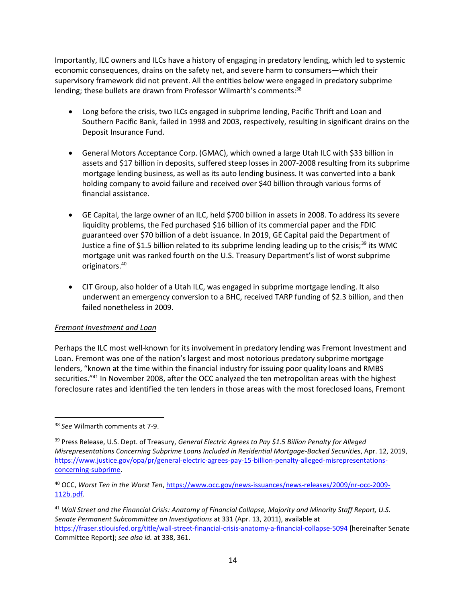Importantly, ILC owners and ILCs have a history of engaging in predatory lending, which led to systemic economic consequences, drains on the safety net, and severe harm to consumers—which their supervisory framework did not prevent. All the entities below were engaged in predatory subprime lending; these bullets are drawn from Professor Wilmarth's comments:<sup>38</sup>

- Long before the crisis, two ILCs engaged in subprime lending, Pacific Thrift and Loan and Southern Pacific Bank, failed in 1998 and 2003, respectively, resulting in significant drains on the Deposit Insurance Fund.
- General Motors Acceptance Corp. (GMAC), which owned a large Utah ILC with \$33 billion in assets and \$17 billion in deposits, suffered steep losses in 2007-2008 resulting from its subprime mortgage lending business, as well as its auto lending business. It was converted into a bank holding company to avoid failure and received over \$40 billion through various forms of financial assistance.
- GE Capital, the large owner of an ILC, held \$700 billion in assets in 2008. To address its severe liquidity problems, the Fed purchased \$16 billion of its commercial paper and the FDIC guaranteed over \$70 billion of a debt issuance. In 2019, GE Capital paid the Department of Justice a fine of \$1.5 billion related to its subprime lending leading up to the crisis;<sup>39</sup> its WMC mortgage unit was ranked fourth on the U.S. Treasury Department's list of worst subprime originators.<sup>40</sup>
- CIT Group, also holder of a Utah ILC, was engaged in subprime mortgage lending. It also underwent an emergency conversion to a BHC, received TARP funding of \$2.3 billion, and then failed nonetheless in 2009.

## *Fremont Investment and Loan*

Perhaps the ILC most well-known for its involvement in predatory lending was Fremont Investment and Loan. Fremont was one of the nation's largest and most notorious predatory subprime mortgage lenders, "known at the time within the financial industry for issuing poor quality loans and RMBS securities."<sup>41</sup> In November 2008, after the OCC analyzed the ten metropolitan areas with the highest foreclosure rates and identified the ten lenders in those areas with the most foreclosed loans, Fremont

<sup>38</sup> *See* Wilmarth comments at 7-9.

<sup>39</sup> Press Release, U.S. Dept. of Treasury, *General Electric Agrees to Pay \$1.5 Billion Penalty for Alleged Misrepresentations Concerning Subprime Loans Included in Residential Mortgage-Backed Securities*, Apr. 12, 2019, [https://www.justice.gov/opa/pr/general-electric-agrees-pay-15-billion-penalty-alleged-misrepresentations](https://www.justice.gov/opa/pr/general-electric-agrees-pay-15-billion-penalty-alleged-misrepresentations-concerning-subprime)[concerning-subprime.](https://www.justice.gov/opa/pr/general-electric-agrees-pay-15-billion-penalty-alleged-misrepresentations-concerning-subprime)

<sup>40</sup> OCC, *Worst Ten in the Worst Ten*[, https://www.occ.gov/news-issuances/news-releases/2009/nr-occ-2009-](https://www.occ.gov/news-issuances/news-releases/2009/nr-occ-2009-112b.pdf) [112b.pdf.](https://www.occ.gov/news-issuances/news-releases/2009/nr-occ-2009-112b.pdf)

<sup>41</sup> *Wall Street and the Financial Crisis: Anatomy of Financial Collapse, Majority and Minority Staff Report, U.S. Senate Permanent Subcommittee on Investigations* at 331 (Apr. 13, 2011), available at <https://fraser.stlouisfed.org/title/wall-street-financial-crisis-anatomy-a-financial-collapse-5094> [hereinafter Senate Committee Report]; *see also id.* at 338, 361.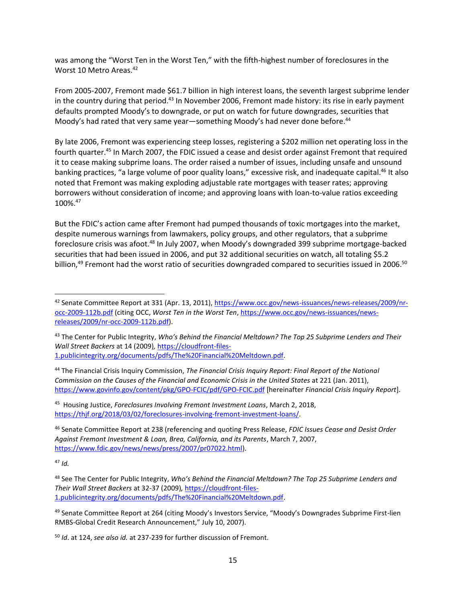was among the "Worst Ten in the Worst Ten," with the fifth-highest number of foreclosures in the Worst 10 Metro Areas.<sup>42</sup>

From 2005-2007, Fremont made \$61.7 billion in high interest loans, the seventh largest subprime lender in the country during that period.<sup>43</sup> In November 2006, Fremont made history: its rise in early payment defaults prompted Moody's to downgrade, or put on watch for future downgrades, securities that Moody's had rated that very same year-something Moody's had never done before.<sup>44</sup>

By late 2006, Fremont was experiencing steep losses, registering a \$202 million net operating loss in the fourth quarter.<sup>45</sup> In March 2007, the FDIC issued a cease and desist order against Fremont that required it to cease making subprime loans. The order raised a number of issues, including unsafe and unsound banking practices, "a large volume of poor quality loans," excessive risk, and inadequate capital.<sup>46</sup> It also noted that Fremont was making exploding adjustable rate mortgages with teaser rates; approving borrowers without consideration of income; and approving loans with loan-to-value ratios exceeding 100%.<sup>47</sup>

But the FDIC's action came after Fremont had pumped thousands of toxic mortgages into the market, despite numerous warnings from lawmakers, policy groups, and other regulators, that a subprime foreclosure crisis was afoot.<sup>48</sup> In July 2007, when Moody's downgraded 399 subprime mortgage-backed securities that had been issued in 2006, and put 32 additional securities on watch, all totaling \$5.2 billion,<sup>49</sup> Fremont had the worst ratio of securities downgraded compared to securities issued in 2006.<sup>50</sup>

<sup>42</sup> Senate Committee Report at 331 (Apr. 13, 2011), [https://www.occ.gov/news-issuances/news-releases/2009/nr](https://www.occ.gov/news-issuances/news-releases/2009/nr-occ-2009-112b.pdf)[occ-2009-112b.pdf](https://www.occ.gov/news-issuances/news-releases/2009/nr-occ-2009-112b.pdf) (citing OCC, *Worst Ten in the Worst Ten*, [https://www.occ.gov/news-issuances/news](https://www.occ.gov/news-issuances/news-releases/2009/nr-occ-2009-112b.pdf)[releases/2009/nr-occ-2009-112b.pdf\)](https://www.occ.gov/news-issuances/news-releases/2009/nr-occ-2009-112b.pdf).

<sup>43</sup> The Center for Public Integrity, *Who's Behind the Financial Meltdown? The Top 25 Subprime Lenders and Their Wall Street Backers* at 14 (2009)*,* [https://cloudfront-files-](https://cloudfront-files-1.publicintegrity.org/documents/pdfs/The%20Financial%20Meltdown.pdf)[1.publicintegrity.org/documents/pdfs/The%20Financial%20Meltdown.pdf.](https://cloudfront-files-1.publicintegrity.org/documents/pdfs/The%20Financial%20Meltdown.pdf)

<sup>44</sup> The Financial Crisis Inquiry Commission, *The Financial Crisis Inquiry Report: Final Report of the National Commission on the Causes of the Financial and Economic Crisis in the United States* at 221 (Jan. 2011), <https://www.govinfo.gov/content/pkg/GPO-FCIC/pdf/GPO-FCIC.pdf> [hereinafter *Financial Crisis Inquiry Report*].

<sup>45</sup> Housing Justice, *Foreclosures Involving Fremont Investment Loans*, March 2, 2018, [https://thjf.org/2018/03/02/foreclosures-involving-fremont-investment-loans/.](https://thjf.org/2018/03/02/foreclosures-involving-fremont-investment-loans/)

<sup>46</sup> Senate Committee Report at 238 (referencing and quoting Press Release, *FDIC Issues Cease and Desist Order Against Fremont Investment & Loan, Brea, California, and its Parents*, March 7, 2007, [https://www.fdic.gov/news/news/press/2007/pr07022.html\)](https://www.fdic.gov/news/news/press/2007/pr07022.html).

<sup>48</sup> See The Center for Public Integrity, *Who's Behind the Financial Meltdown? The Top 25 Subprime Lenders and Their Wall Street Backers* at 32-37 (2009)*,* [https://cloudfront-files-](https://cloudfront-files-1.publicintegrity.org/documents/pdfs/The%20Financial%20Meltdown.pdf)[1.publicintegrity.org/documents/pdfs/The%20Financial%20Meltdown.pdf.](https://cloudfront-files-1.publicintegrity.org/documents/pdfs/The%20Financial%20Meltdown.pdf)

<sup>&</sup>lt;sup>49</sup> Senate Committee Report at 264 (citing Moody's Investors Service, "Moody's Downgrades Subprime First-lien RMBS-Global Credit Research Announcement," July 10, 2007).

<sup>50</sup> *Id*. at 124, *see also id.* at 237-239 for further discussion of Fremont.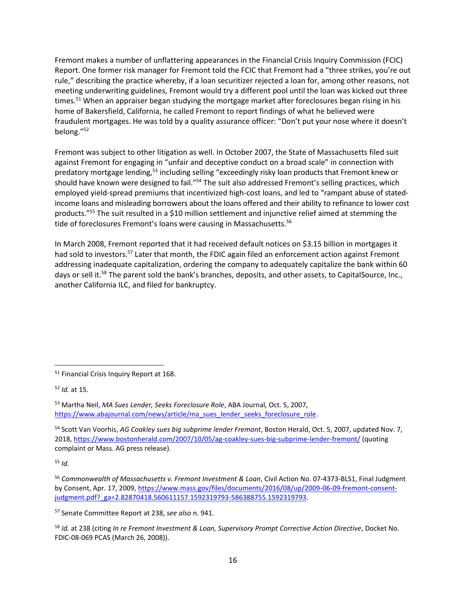Fremont makes a number of unflattering appearances in the Financial Crisis Inquiry Commission (FCIC) Report. One former risk manager for Fremont told the FCIC that Fremont had a "three strikes, you're out rule," describing the practice whereby, if a loan securitizer rejected a loan for, among other reasons, not meeting underwriting guidelines, Fremont would try a different pool until the loan was kicked out three times.<sup>51</sup> When an appraiser began studying the mortgage market after foreclosures began rising in his home of Bakersfield, California, he called Fremont to report findings of what he believed were fraudulent mortgages. He was told by a quality assurance officer: "Don't put your nose where it doesn't belong."<sup>52</sup>

Fremont was subject to other litigation as well. In October 2007, the State of Massachusetts filed suit against Fremont for engaging in "unfair and deceptive conduct on a broad scale" in connection with predatory mortgage lending,<sup>53</sup> including selling "exceedingly risky loan products that Fremont knew or should have known were designed to fail."<sup>54</sup> The suit also addressed Fremont's selling practices, which employed yield-spread premiums that incentivized high-cost loans, and led to "rampant abuse of statedincome loans and misleading borrowers about the loans offered and their ability to refinance to lower cost products."<sup>55</sup> The suit resulted in a \$10 million settlement and injunctive relief aimed at stemming the tide of foreclosures Fremont's loans were causing in Massachusetts.<sup>56</sup>

In March 2008, Fremont reported that it had received default notices on \$3.15 billion in mortgages it had sold to investors.<sup>57</sup> Later that month, the FDIC again filed an enforcement action against Fremont addressing inadequate capitalization, ordering the company to adequately capitalize the bank within 60 days or sell it.<sup>58</sup> The parent sold the bank's branches, deposits, and other assets, to CapitalSource, Inc., another California ILC, and filed for bankruptcy.

<sup>52</sup> *Id.* at 15.

<sup>51</sup> Financial Crisis Inquiry Report at 168.

<sup>53</sup> Martha Neil, *MA Sues Lender, Seeks Foreclosure Role*, ABA Journal, Oct. 5, 2007, [https://www.abajournal.com/news/article/ma\\_sues\\_lender\\_seeks\\_foreclosure\\_role.](https://www.abajournal.com/news/article/ma_sues_lender_seeks_foreclosure_role)

<sup>54</sup> Scott Van Voorhis, *AG Coakley sues big subprime lender Fremont*, Boston Herald, Oct. 5, 2007, updated Nov. 7, 2018,<https://www.bostonherald.com/2007/10/05/ag-coakley-sues-big-subprime-lender-fremont/> (quoting complaint or Mass. AG press release).

<sup>56</sup> *Commonwealth of Massachusetts v. Fremont Investment & Loan*, Civil Action No. 07-4373-BLS1, Final Judgment by Consent, Apr. 17, 2009[, https://www.mass.gov/files/documents/2016/08/up/2009-06-09-fremont-consent](https://www.mass.gov/files/documents/2016/08/up/2009-06-09-fremont-consent-judgment.pdf?_ga=2.82870418.560611157.1592319793-586388755.1592319793)[judgment.pdf?\\_ga=2.82870418.560611157.1592319793-586388755.1592319793.](https://www.mass.gov/files/documents/2016/08/up/2009-06-09-fremont-consent-judgment.pdf?_ga=2.82870418.560611157.1592319793-586388755.1592319793)

<sup>57</sup> Senate Committee Report at 238, *see also* n. 941.

<sup>58</sup> *Id.* at 238 (citing *In re Fremont Investment & Loan, Supervisory Prompt Corrective Action Directive*, Docket No. FDIC-08-069 PCAS (March 26, 2008)).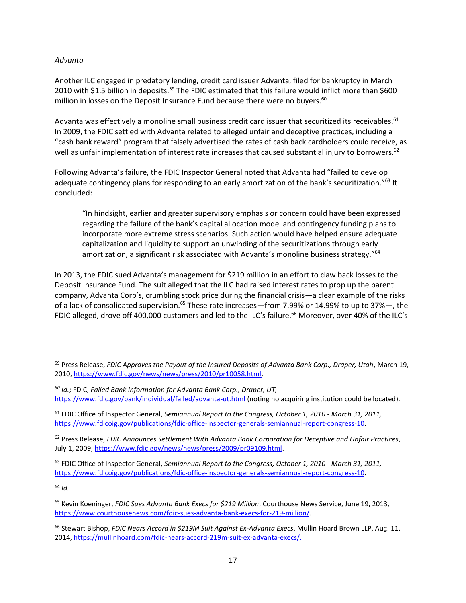#### *Advanta*

Another ILC engaged in predatory lending, credit card issuer Advanta, filed for bankruptcy in March 2010 with \$1.5 billion in deposits.<sup>59</sup> The FDIC estimated that this failure would inflict more than \$600 million in losses on the Deposit Insurance Fund because there were no buyers.<sup>60</sup>

Advanta was effectively a monoline small business credit card issuer that securitized its receivables.<sup>61</sup> In 2009, the FDIC settled with Advanta related to alleged unfair and deceptive practices, including a "cash bank reward" program that falsely advertised the rates of cash back cardholders could receive, as well as unfair implementation of interest rate increases that caused substantial injury to borrowers.<sup>62</sup>

Following Advanta's failure, the FDIC Inspector General noted that Advanta had "failed to develop adequate contingency plans for responding to an early amortization of the bank's securitization."<sup>63</sup> It concluded:

"In hindsight, earlier and greater supervisory emphasis or concern could have been expressed regarding the failure of the bank's capital allocation model and contingency funding plans to incorporate more extreme stress scenarios. Such action would have helped ensure adequate capitalization and liquidity to support an unwinding of the securitizations through early amortization, a significant risk associated with Advanta's monoline business strategy."<sup>64</sup>

In 2013, the FDIC sued Advanta's management for \$219 million in an effort to claw back losses to the Deposit Insurance Fund. The suit alleged that the ILC had raised interest rates to prop up the parent company, Advanta Corp's, crumbling stock price during the financial crisis—a clear example of the risks of a lack of consolidated supervision.<sup>65</sup> These rate increases—from 7.99% or 14.99% to up to 37%—, the FDIC alleged, drove off 400,000 customers and led to the ILC's failure.<sup>66</sup> Moreover, over 40% of the ILC's

<sup>63</sup> FDIC Office of Inspector General, *Semiannual Report to the Congress, October 1, 2010 - March 31, 2011,* [https://www.fdicoig.gov/publications/fdic-office-inspector-generals-semiannual-report-congress-10.](https://www.fdicoig.gov/publications/fdic-office-inspector-generals-semiannual-report-congress-10)

<sup>59</sup> Press Release, *FDIC Approves the Payout of the Insured Deposits of Advanta Bank Corp., Draper, Utah*, March 19, 2010, [https://www.fdic.gov/news/news/press/2010/pr10058.html.](https://www.fdic.gov/news/news/press/2010/pr10058.html)

*<sup>60</sup> Id.*; FDIC, *Failed Bank Information for Advanta Bank Corp., Draper, UT,* <https://www.fdic.gov/bank/individual/failed/advanta-ut.html> (noting no acquiring institution could be located).

<sup>61</sup> FDIC Office of Inspector General, *Semiannual Report to the Congress, October 1, 2010 - March 31, 2011,*  [https://www.fdicoig.gov/publications/fdic-office-inspector-generals-semiannual-report-congress-10.](https://www.fdicoig.gov/publications/fdic-office-inspector-generals-semiannual-report-congress-10)

<sup>62</sup> Press Release, *FDIC Announces Settlement With Advanta Bank Corporation for Deceptive and Unfair Practices*, July 1, 2009[, https://www.fdic.gov/news/news/press/2009/pr09109.html.](https://www.fdic.gov/news/news/press/2009/pr09109.html)

<sup>65</sup> Kevin Koeninger, *FDIC Sues Advanta Bank Execs for \$219 Million*, Courthouse News Service, June 19, 2013, [https://www.courthousenews.com/fdic-sues-advanta-bank-execs-for-219-million/.](https://www.courthousenews.com/fdic-sues-advanta-bank-execs-for-219-million/)

<sup>66</sup> Stewart Bishop, *FDIC Nears Accord in \$219M Suit Against Ex-Advanta Execs*, Mullin Hoard Brown LLP, Aug. 11, 2014, [https://mullinhoard.com/fdic-nears-accord-219m-suit-ex-advanta-execs/.](https://mullinhoard.com/fdic-nears-accord-219m-suit-ex-advanta-execs/)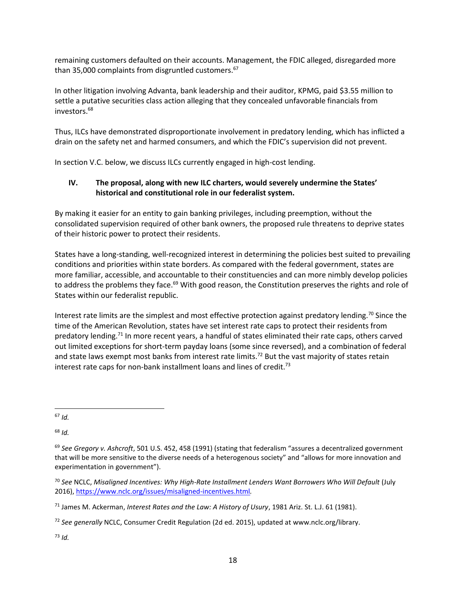remaining customers defaulted on their accounts. Management, the FDIC alleged, disregarded more than 35,000 complaints from disgruntled customers.<sup>67</sup>

In other litigation involving Advanta, bank leadership and their auditor, KPMG, paid \$3.55 million to settle a putative securities class action alleging that they concealed unfavorable financials from investors.<sup>68</sup>

Thus, ILCs have demonstrated disproportionate involvement in predatory lending, which has inflicted a drain on the safety net and harmed consumers, and which the FDIC's supervision did not prevent.

In section V.C. below, we discuss ILCs currently engaged in high-cost lending.

## <span id="page-17-0"></span>**IV. The proposal, along with new ILC charters, would severely undermine the States' historical and constitutional role in our federalist system.**

By making it easier for an entity to gain banking privileges, including preemption, without the consolidated supervision required of other bank owners, the proposed rule threatens to deprive states of their historic power to protect their residents.

States have a long-standing, well-recognized interest in determining the policies best suited to prevailing conditions and priorities within state borders. As compared with the federal government, states are more familiar, accessible, and accountable to their constituencies and can more nimbly develop policies to address the problems they face.<sup>69</sup> With good reason, the Constitution preserves the rights and role of States within our federalist republic.

Interest rate limits are the simplest and most effective protection against predatory lending.<sup>70</sup> Since the time of the American Revolution, states have set interest rate caps to protect their residents from predatory lending.<sup>71</sup> In more recent years, a handful of states eliminated their rate caps, others carved out limited exceptions for short-term payday loans (some since reversed), and a combination of federal and state laws exempt most banks from interest rate limits.<sup>72</sup> But the vast majority of states retain interest rate caps for non-bank installment loans and lines of credit.<sup>73</sup>

<sup>67</sup> *Id.*

<sup>69</sup> *See Gregory v. Ashcroft*, 501 U.S. 452, 458 (1991) (stating that federalism "assures a decentralized government that will be more sensitive to the diverse needs of a heterogenous society" and "allows for more innovation and experimentation in government").

<sup>70</sup> *See* NCLC, *Misaligned Incentives: Why High-Rate Installment Lenders Want Borrowers Who Will Default* (July 2016),<https://www.nclc.org/issues/misaligned-incentives.html>*.*

<sup>71</sup> James M. Ackerman, *Interest Rates and the Law: A History of Usury*, 1981 Ariz. St. L.J. 61 (1981).

<sup>72</sup> *See generally* NCLC, Consumer Credit Regulation (2d ed. 2015), updated at [www.nclc.org/library.](http://www.nclc.org/library)

<sup>73</sup> *Id.*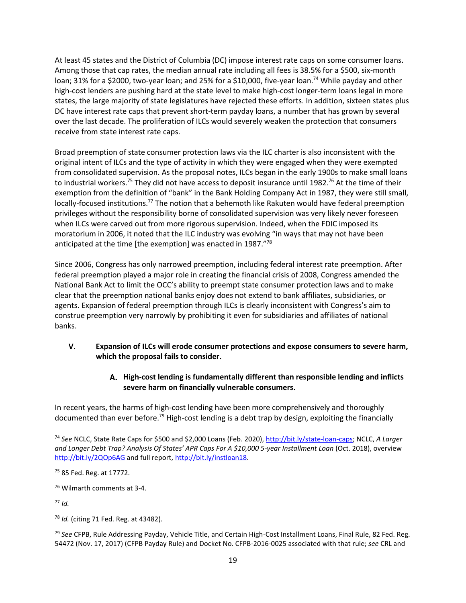At least 45 states and the District of Columbia (DC) impose interest rate caps on some consumer loans. Among those that cap rates, the median annual rate including all fees is 38.5% for a \$500, six-month loan; 31% for a \$2000, two-year loan; and 25% for a \$10,000, five-year loan.<sup>74</sup> While payday and other high-cost lenders are pushing hard at the state level to make high-cost longer-term loans legal in more states, the large majority of state legislatures have rejected these efforts. In addition, sixteen states plus DC have interest rate caps that prevent short-term payday loans, a number that has grown by several over the last decade. The proliferation of ILCs would severely weaken the protection that consumers receive from state interest rate caps.

Broad preemption of state consumer protection laws via the ILC charter is also inconsistent with the original intent of ILCs and the type of activity in which they were engaged when they were exempted from consolidated supervision. As the proposal notes, ILCs began in the early 1900s to make small loans to industrial workers.<sup>75</sup> They did not have access to deposit insurance until 1982.<sup>76</sup> At the time of their exemption from the definition of "bank" in the Bank Holding Company Act in 1987, they were still small, locally-focused institutions.<sup>77</sup> The notion that a behemoth like Rakuten would have federal preemption privileges without the responsibility borne of consolidated supervision was very likely never foreseen when ILCs were carved out from more rigorous supervision. Indeed, when the FDIC imposed its moratorium in 2006, it noted that the ILC industry was evolving "in ways that may not have been anticipated at the time [the exemption] was enacted in 1987."<sup>78</sup>

Since 2006, Congress has only narrowed preemption, including federal interest rate preemption. After federal preemption played a major role in creating the financial crisis of 2008, Congress amended the National Bank Act to limit the OCC's ability to preempt state consumer protection laws and to make clear that the preemption national banks enjoy does not extend to bank affiliates, subsidiaries, or agents. Expansion of federal preemption through ILCs is clearly inconsistent with Congress's aim to construe preemption very narrowly by prohibiting it even for subsidiaries and affiliates of national banks.

## <span id="page-18-0"></span>**V. Expansion of ILCs will erode consumer protections and expose consumers to severe harm, which the proposal fails to consider.**

# **High-cost lending is fundamentally different than responsible lending and inflicts severe harm on financially vulnerable consumers.**

<span id="page-18-1"></span>In recent years, the harms of high-cost lending have been more comprehensively and thoroughly documented than ever before.<sup>79</sup> High-cost lending is a debt trap by design, exploiting the financially

<sup>74</sup> *See* NCLC, State Rate Caps for \$500 and \$2,000 Loans (Feb. 2020)[, http://bit.ly/state-loan-caps;](http://bit.ly/state-loan-caps) NCLC, *A Larger and Longer Debt Trap? Analysis Of States' APR Caps For A \$10,000 5-year Installment Loan* (Oct. 2018), overview <http://bit.ly/2QOp6AG> and full report, http://bit.ly/instloan18.

<sup>75</sup> 85 Fed. Reg. at 17772.

<sup>76</sup> Wilmarth comments at 3-4.

<sup>78</sup> *Id.* (citing 71 Fed. Reg. at 43482).

<sup>79</sup> *See* CFPB, Rule Addressing Payday, Vehicle Title, and Certain High-Cost Installment Loans, Final Rule, 82 Fed. Reg. 54472 (Nov. 17, 2017) (CFPB Payday Rule) and Docket No. CFPB-2016-0025 associated with that rule; *see* CRL and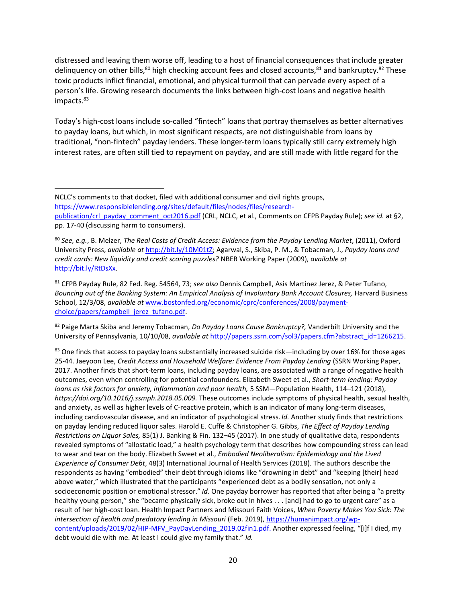distressed and leaving them worse off, leading to a host of financial consequences that include greater delinquency on other bills, $^{80}$  high checking account fees and closed accounts, $^{81}$  and bankruptcy. $^{82}$  These toxic products inflict financial, emotional, and physical turmoil that can pervade every aspect of a person's life. Growing research documents the links between high-cost loans and negative health impacts.<sup>83</sup>

Today's high-cost loans include so-called "fintech" loans that portray themselves as better alternatives to payday loans, but which, in most significant respects, are not distinguishable from loans by traditional, "non-fintech" payday lenders. These longer-term loans typically still carry extremely high interest rates, are often still tied to repayment on payday, and are still made with little regard for the

[https://www.responsiblelending.org/sites/default/files/nodes/files/research-](https://www.responsiblelending.org/sites/default/files/nodes/files/research-publication/crl_payday_comment_oct2016.pdf)

<sup>81</sup> CFPB Payday Rule, 82 Fed. Reg. 54564, 73; *see also* Dennis Campbell, Asis Martinez Jerez, & Peter Tufano, *Bouncing out of the Banking System: An Empirical Analysis of Involuntary Bank Account Closures,* Harvard Business School, 12/3/08, *available at* [www.bostonfed.org/economic/cprc/conferences/2008/payment](http://www.bostonfed.org/economic/cprc/conferences/2008/payment-choice/papers/campbell_jerez_tufano.pdf)[choice/papers/campbell\\_jerez\\_tufano.pdf.](http://www.bostonfed.org/economic/cprc/conferences/2008/payment-choice/papers/campbell_jerez_tufano.pdf)

<sup>82</sup> Paige Marta Skiba and Jeremy Tobacman, *Do Payday Loans Cause Bankruptcy?,* Vanderbilt University and the University of Pennsylvania, 10/10/08, *available at* [http://papers.ssrn.com/sol3/papers.cfm?abstract\\_id=1266215.](http://papers.ssrn.com/sol3/papers.cfm?abstract_id=1266215)

83 One finds that access to payday loans substantially increased suicide risk—including by over 16% for those ages 25-44. Jaeyoon Lee, *Credit Access and Household Welfare: Evidence From Payday Lending* (SSRN Working Paper, 2017. Another finds that short-term loans, including payday loans, are associated with a range of negative health outcomes, even when controlling for potential confounders. Elizabeth Sweet et al., *Short-term lending: Payday loans as risk factors for anxiety, inflammation and poor health,* 5 SSM—Population Health, 114–121 (2018), *https://doi.org/10.1016/j.ssmph.2018.05.009.* These outcomes include symptoms of physical health, sexual health, and anxiety, as well as higher levels of C-reactive protein, which is an indicator of many long-term diseases, including cardiovascular disease, and an indicator of psychological stress. *Id.* Another study finds that restrictions on payday lending reduced liquor sales. Harold E. Cuffe & Christopher G. Gibbs, *The Effect of Payday Lending Restrictions on Liquor Sales,* 85(1) J. Banking & Fin. 132–45 (2017). In one study of qualitative data, respondents revealed symptoms of "allostatic load," a health psychology term that describes how compounding stress can lead to wear and tear on the body. Elizabeth Sweet et al., *Embodied Neoliberalism: Epidemiology and the Lived Experience of Consumer Debt*, 48(3) International Journal of Health Services (2018). The authors describe the respondents as having "embodied" their debt through idioms like "drowning in debt" and "keeping [their] head above water," which illustrated that the participants "experienced debt as a bodily sensation, not only a socioeconomic position or emotional stressor." *Id.* One payday borrower has reported that after being a "a pretty healthy young person," she "became physically sick, broke out in hives . . . [and] had to go to urgent care" as a result of her high-cost loan. Health Impact Partners and Missouri Faith Voices, *When Poverty Makes You Sick: The intersection of health and predatory lending in Missouri* (Feb. 2019), [https://humanimpact.org/wp](https://humanimpact.org/wp-content/uploads/2019/02/HIP-MFV_PayDayLending_2019.02fin1.pdf)[content/uploads/2019/02/HIP-MFV\\_PayDayLending\\_2019.02fin1.pdf.](https://humanimpact.org/wp-content/uploads/2019/02/HIP-MFV_PayDayLending_2019.02fin1.pdf) Another expressed feeling, "[i]f I died, my debt would die with me. At least I could give my family that." *Id.*

NCLC's comments to that docket, filed with additional consumer and civil rights groups,

[publication/crl\\_payday\\_comment\\_oct2016.pdf](https://www.responsiblelending.org/sites/default/files/nodes/files/research-publication/crl_payday_comment_oct2016.pdf) (CRL, NCLC, et al., Comments on CFPB Payday Rule); *see id.* at §2, pp. 17-40 (discussing harm to consumers).

<sup>80</sup> *See, e.g.*, B. Melzer, *The Real Costs of Credit Access: Evidence from the Payday Lending Market*, (2011), Oxford University Press, *available at* [http://bit.ly/10M01tZ;](http://bit.ly/10M01tZ) Agarwal, S., Skiba, P. M., & Tobacman, J., *Payday loans and credit cards: New liquidity and credit scoring puzzles?* NBER Working Paper (2009), *available at* [http://bit.ly/RtDsXx.](http://bit.ly/RtDsXx)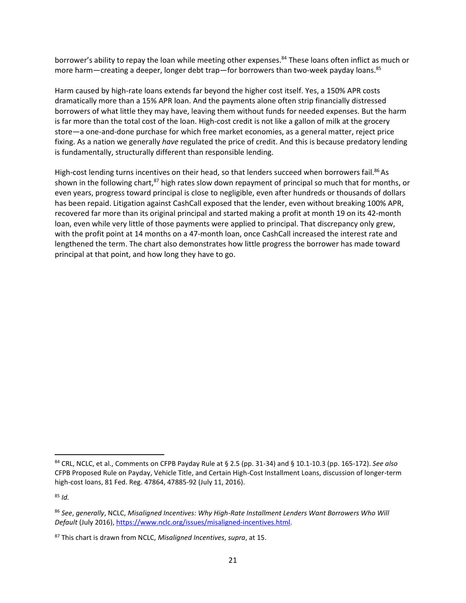borrower's ability to repay the loan while meeting other expenses.<sup>84</sup> These loans often inflict as much or more harm—creating a deeper, longer debt trap—for borrowers than two-week payday loans.<sup>85</sup>

Harm caused by high-rate loans extends far beyond the higher cost itself. Yes, a 150% APR costs dramatically more than a 15% APR loan. And the payments alone often strip financially distressed borrowers of what little they may have, leaving them without funds for needed expenses. But the harm is far more than the total cost of the loan. High-cost credit is not like a gallon of milk at the grocery store—a one-and-done purchase for which free market economies, as a general matter, reject price fixing. As a nation we generally *have* regulated the price of credit. And this is because predatory lending is fundamentally, structurally different than responsible lending.

High-cost lending turns incentives on their head, so that lenders succeed when borrowers fail.<sup>86</sup> As shown in the following chart, $87$  high rates slow down repayment of principal so much that for months, or even years, progress toward principal is close to negligible, even after hundreds or thousands of dollars has been repaid. Litigation against CashCall exposed that the lender, even without breaking 100% APR, recovered far more than its original principal and started making a profit at month 19 on its 42-month loan, even while very little of those payments were applied to principal. That discrepancy only grew, with the profit point at 14 months on a 47-month loan, once CashCall increased the interest rate and lengthened the term. The chart also demonstrates how little progress the borrower has made toward principal at that point, and how long they have to go.

<sup>84</sup> CRL, NCLC, et al., Comments on CFPB Payday Rule at § 2.5 (pp. 31-34) and § 10.1-10.3 (pp. 165-172). *See also*  CFPB Proposed Rule on Payday, Vehicle Title, and Certain High-Cost Installment Loans, discussion of longer-term high-cost loans, 81 Fed. Reg. 47864, 47885-92 (July 11, 2016).

<sup>85</sup> *Id.*

<sup>86</sup> *See*, *generally*, NCLC, *Misaligned Incentives: Why High-Rate Installment Lenders Want Borrowers Who Will Default* (July 2016), [https://www.nclc.org/issues/misaligned-incentives.html.](https://www.nclc.org/issues/misaligned-incentives.html)

<sup>87</sup> This chart is drawn from NCLC, *Misaligned Incentives*, *supra*, at 15.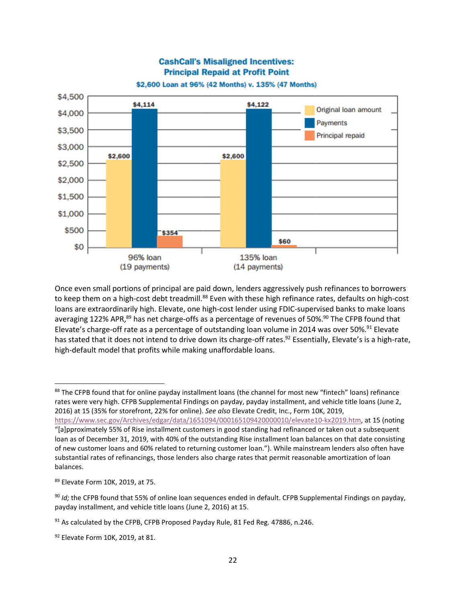

Once even small portions of principal are paid down, lenders aggressively push refinances to borrowers to keep them on a high-cost debt treadmill.<sup>88</sup> Even with these high refinance rates, defaults on high-cost loans are extraordinarily high. Elevate, one high-cost lender using FDIC-supervised banks to make loans averaging 122% APR,<sup>89</sup> has net charge-offs as a percentage of revenues of 50%.<sup>90</sup> The CFPB found that Elevate's charge-off rate as a percentage of outstanding loan volume in 2014 was over 50%.<sup>91</sup> Elevate has stated that it does not intend to drive down its charge-off rates.<sup>92</sup> Essentially, Elevate's is a high-rate, high-default model that profits while making unaffordable loans.

<sup>88</sup> The CFPB found that for online payday installment loans (the channel for most new "fintech" loans) refinance rates were very high. CFPB Supplemental Findings on payday, payday installment, and vehicle title loans (June 2, 2016) at 15 (35% for storefront, 22% for online). *See also* Elevate Credit, Inc., Form 10K, 2019,

[https://www.sec.gov/Archives/edgar/data/1651094/000165109420000010/elevate10-kx2019.htm,](https://www.sec.gov/Archives/edgar/data/1651094/000165109420000010/elevate10-kx2019.htm) at 15 (noting "[a]pproximately 55% of Rise installment customers in good standing had refinanced or taken out a subsequent loan as of December 31, 2019, with 40% of the outstanding Rise installment loan balances on that date consisting of new customer loans and 60% related to returning customer loan."). While mainstream lenders also often have substantial rates of refinancings, those lenders also charge rates that permit reasonable amortization of loan balances.

<sup>89</sup> Elevate Form 10K, 2019, at 75.

<sup>&</sup>lt;sup>90</sup> *Id;* the CFPB found that 55% of online loan sequences ended in default. CFPB Supplemental Findings on payday, payday installment, and vehicle title loans (June 2, 2016) at 15.

 $91$  As calculated by the CFPB, CFPB Proposed Payday Rule, 81 Fed Reg. 47886, n.246.

<sup>92</sup> Elevate Form 10K, 2019, at 81.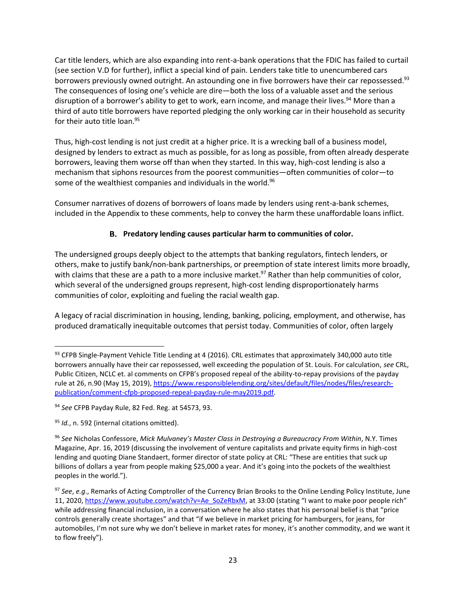Car title lenders, which are also expanding into rent-a-bank operations that the FDIC has failed to curtail (see section V.D for further), inflict a special kind of pain. Lenders take title to unencumbered cars borrowers previously owned outright. An astounding one in five borrowers have their car repossessed.<sup>93</sup> The consequences of losing one's vehicle are dire—both the loss of a valuable asset and the serious disruption of a borrower's ability to get to work, earn income, and manage their lives.<sup>94</sup> More than a third of auto title borrowers have reported pledging the only working car in their household as security for their auto title loan.<sup>95</sup>

Thus, high-cost lending is not just credit at a higher price. It is a wrecking ball of a business model, designed by lenders to extract as much as possible, for as long as possible, from often already desperate borrowers, leaving them worse off than when they started. In this way, high-cost lending is also a mechanism that siphons resources from the poorest communities—often communities of color—to some of the wealthiest companies and individuals in the world.<sup>96</sup>

Consumer narratives of dozens of borrowers of loans made by lenders using rent-a-bank schemes, included in the Appendix to these comments, help to convey the harm these unaffordable loans inflict.

# **Predatory lending causes particular harm to communities of color.**

<span id="page-22-0"></span>The undersigned groups deeply object to the attempts that banking regulators, fintech lenders, or others, make to justify bank/non-bank partnerships, or preemption of state interest limits more broadly, with claims that these are a path to a more inclusive market.<sup>97</sup> Rather than help communities of color, which several of the undersigned groups represent, high-cost lending disproportionately harms communities of color, exploiting and fueling the racial wealth gap.

A legacy of racial discrimination in housing, lending, banking, policing, employment, and otherwise, has produced dramatically inequitable outcomes that persist today. Communities of color, often largely

<sup>93</sup> CFPB Single-Payment Vehicle Title Lending at 4 (2016). CRL estimates that approximately 340,000 auto title borrowers annually have their car repossessed, well exceeding the population of St. Louis. For calculation, *see* CRL, Public Citizen, NCLC et. al comments on CFPB's proposed repeal of the ability-to-repay provisions of the payday rule at 26, n.90 (May 15, 2019), [https://www.responsiblelending.org/sites/default/files/nodes/files/research](https://www.responsiblelending.org/sites/default/files/nodes/files/research-publication/comment-cfpb-proposed-repeal-payday-rule-may2019.pdf)[publication/comment-cfpb-proposed-repeal-payday-rule-may2019.pdf.](https://www.responsiblelending.org/sites/default/files/nodes/files/research-publication/comment-cfpb-proposed-repeal-payday-rule-may2019.pdf)

<sup>94</sup> *See* CFPB Payday Rule, 82 Fed. Reg. at 54573, 93.

<sup>95</sup> *Id.*, n. 592 (internal citations omitted).

<sup>96</sup> *See* Nicholas Confessore, *Mick Mulvaney's Master Class in Destroying a Bureaucracy From Within*, N.Y. Times Magazine, Apr. 16, 2019 (discussing the involvement of venture capitalists and private equity firms in high-cost lending and quoting Diane Standaert, former director of state policy at CRL: "These are entities that suck up billions of dollars a year from people making \$25,000 a year. And it's going into the pockets of the wealthiest peoples in the world.").

<sup>97</sup> *See*, *e.g*., Remarks of Acting Comptroller of the Currency Brian Brooks to the Online Lending Policy Institute, June 11, 2020, [https://www.youtube.com/watch?v=Ae\\_SoZeRbxM,](https://www.youtube.com/watch?v=Ae_SoZeRbxM) at 33:00 (stating "I want to make poor people rich" while addressing financial inclusion, in a conversation where he also states that his personal belief is that "price controls generally create shortages" and that "if we believe in market pricing for hamburgers, for jeans, for automobiles, I'm not sure why we don't believe in market rates for money, it's another commodity, and we want it to flow freely").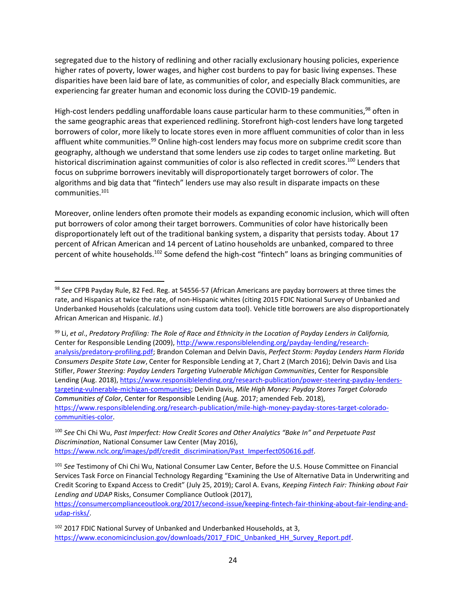segregated due to the history of redlining and other racially exclusionary housing policies, experience higher rates of poverty, lower wages, and higher cost burdens to pay for basic living expenses. These disparities have been laid bare of late, as communities of color, and especially Black communities, are experiencing far greater human and economic loss during the COVID-19 pandemic.

High-cost lenders peddling unaffordable loans cause particular harm to these communities,<sup>98</sup> often in the same geographic areas that experienced redlining. Storefront high-cost lenders have long targeted borrowers of color, more likely to locate stores even in more affluent communities of color than in less affluent white communities.<sup>99</sup> Online high-cost lenders may focus more on subprime credit score than geography, although we understand that some lenders use zip codes to target online marketing. But historical discrimination against communities of color is also reflected in credit scores.<sup>100</sup> Lenders that focus on subprime borrowers inevitably will disproportionately target borrowers of color. The algorithms and big data that "fintech" lenders use may also result in disparate impacts on these communities.<sup>101</sup>

Moreover, online lenders often promote their models as expanding economic inclusion, which will often put borrowers of color among their target borrowers. Communities of color have historically been disproportionately left out of the traditional banking system, a disparity that persists today. About 17 percent of African American and 14 percent of Latino households are unbanked, compared to three percent of white households.<sup>102</sup> Some defend the high-cost "fintech" loans as bringing communities of

[https://consumercomplianceoutlook.org/2017/second-issue/keeping-fintech-fair-thinking-about-fair-lending-and](https://consumercomplianceoutlook.org/2017/second-issue/keeping-fintech-fair-thinking-about-fair-lending-and-udap-risks/)[udap-risks/.](https://consumercomplianceoutlook.org/2017/second-issue/keeping-fintech-fair-thinking-about-fair-lending-and-udap-risks/)

<sup>98</sup> *See* CFPB Payday Rule, 82 Fed. Reg. at 54556-57 (African Americans are payday borrowers at three times the rate, and Hispanics at twice the rate, of non-Hispanic whites (citing 2015 FDIC National Survey of Unbanked and Underbanked Households (calculations using custom data tool). Vehicle title borrowers are also disproportionately African American and Hispanic. *Id*.)

<sup>99</sup> Li, *et al*., *Predatory Profiling: The Role of Race and Ethnicity in the Location of Payday Lenders in California,*  Center for Responsible Lending (2009), [http://www.responsiblelending.org/payday-lending/research](http://www.responsiblelending.org/payday-lending/research-analysis/predatory-profiling.pdf)[analysis/predatory-profiling.pdf;](http://www.responsiblelending.org/payday-lending/research-analysis/predatory-profiling.pdf) Brandon Coleman and Delvin Davis, *Perfect Storm: Payday Lenders Harm Florida Consumers Despite State Law*, Center for Responsible Lending at 7, Chart 2 (March 2016); Delvin Davis and Lisa Stifler, *Power Steering: Payday Lenders Targeting Vulnerable Michigan Communities*, Center for Responsible Lending (Aug. 2018), [https://www.responsiblelending.org/research-publication/power-steering-payday-lenders](https://www.responsiblelending.org/research-publication/power-steering-payday-lenders-targeting-vulnerable-michigan-communities)[targeting-vulnerable-michigan-communities;](https://www.responsiblelending.org/research-publication/power-steering-payday-lenders-targeting-vulnerable-michigan-communities) Delvin Davis, *Mile High Money: Payday Stores Target Colorado Communities of Color*, Center for Responsible Lending (Aug. 2017; amended Feb. 2018), [https://www.responsiblelending.org/research-publication/mile-high-money-payday-stores-target-colorado](https://www.responsiblelending.org/research-publication/mile-high-money-payday-stores-target-colorado-communities-color)[communities-color.](https://www.responsiblelending.org/research-publication/mile-high-money-payday-stores-target-colorado-communities-color)

<sup>100</sup> *See* Chi Chi Wu, *Past Imperfect: How Credit Scores and Other Analytics "Bake In" and Perpetuate Past Discrimination*, National Consumer Law Center (May 2016), [https://www.nclc.org/images/pdf/credit\\_discrimination/Past\\_Imperfect050616.pdf.](https://www.nclc.org/images/pdf/credit_discrimination/Past_Imperfect050616.pdf)

<sup>101</sup> *See* Testimony of Chi Chi Wu, National Consumer Law Center, Before the U.S. House Committee on Financial Services Task Force on Financial Technology Regarding "Examining the Use of Alternative Data in Underwriting and Credit Scoring to Expand Access to Credit" (July 25, 2019); Carol A. Evans, *Keeping Fintech Fair: Thinking about Fair Lending and UDAP* Risks, Consumer Compliance Outlook (2017),

<sup>&</sup>lt;sup>102</sup> 2017 FDIC National Survey of Unbanked and Underbanked Households, at 3, [https://www.economicinclusion.gov/downloads/2017\\_FDIC\\_Unbanked\\_HH\\_Survey\\_Report.pdf.](https://www.economicinclusion.gov/downloads/2017_FDIC_Unbanked_HH_Survey_Report.pdf)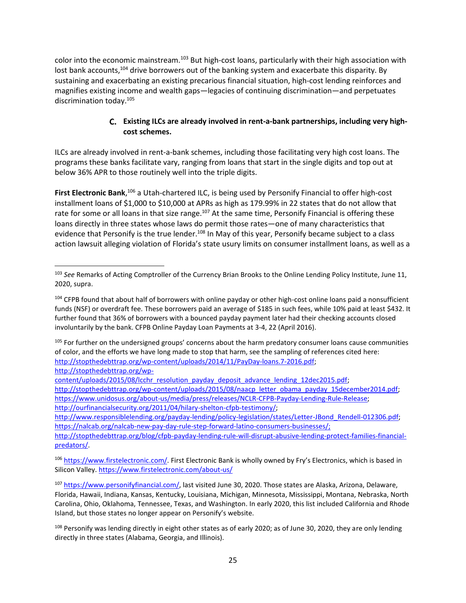color into the economic mainstream.<sup>103</sup> But high-cost loans, particularly with their high association with lost bank accounts,<sup>104</sup> drive borrowers out of the banking system and exacerbate this disparity. By sustaining and exacerbating an existing precarious financial situation, high-cost lending reinforces and magnifies existing income and wealth gaps—legacies of continuing discrimination—and perpetuates discrimination today.<sup>105</sup>

## **Existing ILCs are already involved in rent-a-bank partnerships, including very highcost schemes.**

<span id="page-24-0"></span>ILCs are already involved in rent-a-bank schemes, including those facilitating very high cost loans. The programs these banks facilitate vary, ranging from loans that start in the single digits and top out at below 36% APR to those routinely well into the triple digits.

**First Electronic Bank**, <sup>106</sup> a Utah-chartered ILC, is being used by Personify Financial to offer high-cost installment loans of \$1,000 to \$10,000 at APRs as high as 179.99% in 22 states that do not allow that rate for some or all loans in that size range.<sup>107</sup> At the same time, Personify Financial is offering these loans directly in three states whose laws do permit those rates—one of many characteristics that evidence that Personify is the true lender.<sup>108</sup> In May of this year, Personify became subject to a class action lawsuit alleging violation of Florida's state usury limits on consumer installment loans, as well as a

<sup>105</sup> For further on the undersigned groups' concerns about the harm predatory consumer loans cause communities of color, and the efforts we have long made to stop that harm, see the sampling of references cited here: [http://stopthedebttrap.org/wp-content/uploads/2014/11/PayDay-loans.7-2016.pdf;](http://stopthedebttrap.org/wp-content/uploads/2014/11/PayDay-loans.7-2016.pdf)

[http://stopthedebttrap.org/wp-](http://stopthedebttrap.org/wp-content/uploads/2015/08/lcchr_resolution_payday_deposit_advance_lending_12dec2015.pdf)

[http://ourfinancialsecurity.org/2011/04/hilary-shelton-cfpb-testimony/;](http://ourfinancialsecurity.org/2011/04/hilary-shelton-cfpb-testimony/)

<sup>103</sup> *See* Remarks of Acting Comptroller of the Currency Brian Brooks to the Online Lending Policy Institute, June 11, 2020, supra.

<sup>&</sup>lt;sup>104</sup> CFPB found that about half of borrowers with online payday or other high-cost online loans paid a nonsufficient funds (NSF) or overdraft fee. These borrowers paid an average of \$185 in such fees, while 10% paid at least \$432. It further found that 36% of borrowers with a bounced payday payment later had their checking accounts closed involuntarily by the bank. CFPB Online Payday Loan Payments at 3-4, 22 (April 2016).

[content/uploads/2015/08/lcchr\\_resolution\\_payday\\_deposit\\_advance\\_lending\\_12dec2015.pdf;](http://stopthedebttrap.org/wp-content/uploads/2015/08/lcchr_resolution_payday_deposit_advance_lending_12dec2015.pdf)

[http://stopthedebttrap.org/wp-content/uploads/2015/08/naacp\\_letter\\_obama\\_payday\\_15december2014.pdf;](http://stopthedebttrap.org/wp-content/uploads/2015/08/naacp_letter_obama_payday_15december2014.pdf) [https://www.unidosus.org/about-us/media/press/releases/NCLR-CFPB-Payday-Lending-Rule-Release;](https://www.unidosus.org/about-us/media/press/releases/NCLR-CFPB-Payday-Lending-Rule-Release)

[http://www.responsiblelending.org/payday-lending/policy-legislation/states/Letter-JBond\\_Rendell-012306.pdf;](http://www.responsiblelending.org/payday-lending/policy-legislation/states/Letter-JBond_Rendell-012306.pdf) [https://nalcab.org/nalcab-new-pay-day-rule-step-forward-latino-consumers-businesses/;](https://nalcab.org/nalcab-new-pay-day-rule-step-forward-latino-consumers-businesses/)

[http://stopthedebttrap.org/blog/cfpb-payday-lending-rule-will-disrupt-abusive-lending-protect-families-financial](http://stopthedebttrap.org/blog/cfpb-payday-lending-rule-will-disrupt-abusive-lending-protect-families-financial-predators/)[predators/.](http://stopthedebttrap.org/blog/cfpb-payday-lending-rule-will-disrupt-abusive-lending-protect-families-financial-predators/)

<sup>106</sup> [https://www.firstelectronic.com/.](https://www.firstelectronic.com/) First Electronic Bank is wholly owned by Fry's Electronics, which is based in Silicon Valley. <https://www.firstelectronic.com/about-us/>

<sup>107</sup> [https://www.personifyfinancial.com/,](https://www.personifyfinancial.com/) last visited June 30, 2020. Those states are Alaska, Arizona, Delaware, Florida, Hawaii, Indiana, Kansas, Kentucky, Louisiana, Michigan, Minnesota, Mississippi, Montana, Nebraska, North Carolina, Ohio, Oklahoma, Tennessee, Texas, and Washington. In early 2020, this list included California and Rhode Island, but those states no longer appear on Personify's website.

<sup>&</sup>lt;sup>108</sup> Personify was lending directly in eight other states as of early 2020; as of June 30, 2020, they are only lending directly in three states (Alabama, Georgia, and Illinois).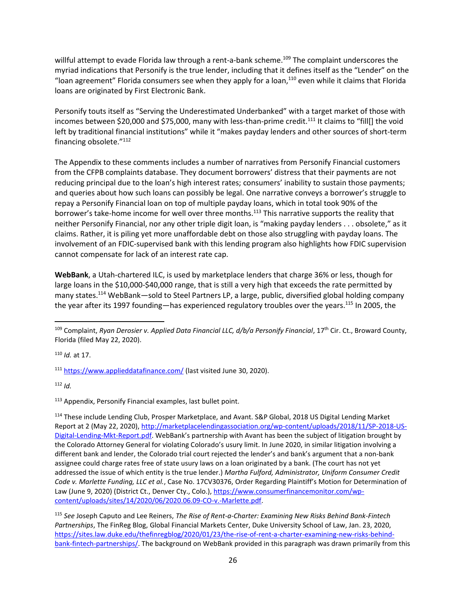willful attempt to evade Florida law through a rent-a-bank scheme.<sup>109</sup> The complaint underscores the myriad indications that Personify is the true lender, including that it defines itself as the "Lender" on the "loan agreement" Florida consumers see when they apply for a loan, $110$  even while it claims that Florida loans are originated by First Electronic Bank.

Personify touts itself as "Serving the Underestimated Underbanked" with a target market of those with incomes between \$20,000 and \$75,000, many with less-than-prime credit.<sup>111</sup> It claims to "fill[] the void left by traditional financial institutions" while it "makes payday lenders and other sources of short-term financing obsolete."<sup>112</sup>

The Appendix to these comments includes a number of narratives from Personify Financial customers from the CFPB complaints database. They document borrowers' distress that their payments are not reducing principal due to the loan's high interest rates; consumers' inability to sustain those payments; and queries about how such loans can possibly be legal. One narrative conveys a borrower's struggle to repay a Personify Financial loan on top of multiple payday loans, which in total took 90% of the borrower's take-home income for well over three months.<sup>113</sup> This narrative supports the reality that neither Personify Financial, nor any other triple digit loan, is "making payday lenders . . . obsolete," as it claims. Rather, it is piling yet more unaffordable debt on those also struggling with payday loans. The involvement of an FDIC-supervised bank with this lending program also highlights how FDIC supervision cannot compensate for lack of an interest rate cap.

**WebBank**, a Utah-chartered ILC, is used by marketplace lenders that charge 36% or less, though for large loans in the \$10,000-\$40,000 range, that is still a very high that exceeds the rate permitted by many states.<sup>114</sup> WebBank—sold to Steel Partners LP, a large, public, diversified global holding company the year after its 1997 founding—has experienced regulatory troubles over the years.<sup>115</sup> In 2005, the

<sup>110</sup> *Id.* at 17.

<sup>111</sup> <https://www.applieddatafinance.com/> (last visited June 30, 2020).

<sup>112</sup> *Id.*

<sup>113</sup> Appendix, Personify Financial examples, last bullet point.

<sup>115</sup> *See* Joseph Caputo and Lee Reiners, *The Rise of Rent-a-Charter: Examining New Risks Behind Bank-Fintech Partnerships*, The FinReg Blog, Global Financial Markets Center, Duke University School of Law, Jan. 23, 2020, [https://sites.law.duke.edu/thefinregblog/2020/01/23/the-rise-of-rent-a-charter-examining-new-risks-behind](https://sites.law.duke.edu/thefinregblog/2020/01/23/the-rise-of-rent-a-charter-examining-new-risks-behind-bank-fintech-partnerships/)[bank-fintech-partnerships/.](https://sites.law.duke.edu/thefinregblog/2020/01/23/the-rise-of-rent-a-charter-examining-new-risks-behind-bank-fintech-partnerships/) The background on WebBank provided in this paragraph was drawn primarily from this

<sup>&</sup>lt;sup>109</sup> Complaint, *Ryan Derosier v. Applied Data Financial LLC, d/b/a Personify Financial*, 17<sup>th</sup> Cir. Ct., Broward County, Florida (filed May 22, 2020).

<sup>114</sup> These include Lending Club, Prosper Marketplace, and Avant. S&P Global, 2018 US Digital Lending Market Report at 2 (May 22, 2020), [http://marketplacelendingassociation.org/wp-content/uploads/2018/11/SP-2018-US-](http://marketplacelendingassociation.org/wp-content/uploads/2018/11/SP-2018-US-Digital-Lending-Mkt-Report.pdf)[Digital-Lending-Mkt-Report.pdf.](http://marketplacelendingassociation.org/wp-content/uploads/2018/11/SP-2018-US-Digital-Lending-Mkt-Report.pdf) WebBank's partnership with Avant has been the subject of litigation brought by the Colorado Attorney General for violating Colorado's usury limit. In June 2020, in similar litigation involving a different bank and lender, the Colorado trial court rejected the lender's and bank's argument that a non-bank assignee could charge rates free of state usury laws on a loan originated by a bank. (The court has not yet addressed the issue of which entity is the true lender.) *Martha Fulford, Administrator, Uniform Consumer Credit Code v. Marlette Funding, LLC et al.*, Case No. 17CV30376, Order Regarding Plaintiff's Motion for Determination of Law (June 9, 2020) (District Ct., Denver Cty., Colo.)[, https://www.consumerfinancemonitor.com/wp](https://www.consumerfinancemonitor.com/wp-content/uploads/sites/14/2020/06/2020.06.09-CO-v.-Marlette.pdf)[content/uploads/sites/14/2020/06/2020.06.09-CO-v.-Marlette.pdf.](https://www.consumerfinancemonitor.com/wp-content/uploads/sites/14/2020/06/2020.06.09-CO-v.-Marlette.pdf)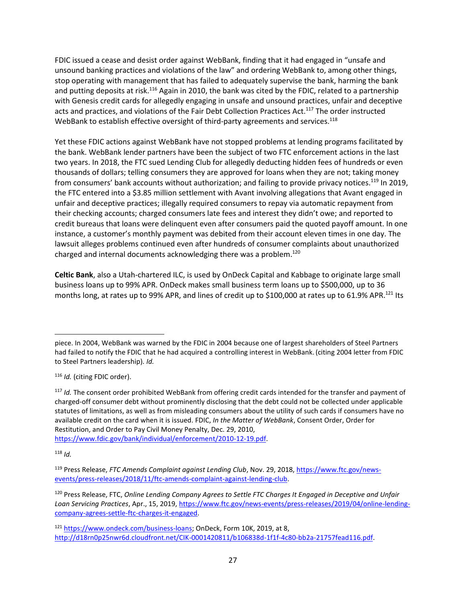FDIC issued a cease and desist order against WebBank, finding that it had engaged in "unsafe and unsound banking practices and violations of the law" and ordering WebBank to, among other things, stop operating with management that has failed to adequately supervise the bank, harming the bank and putting deposits at risk.<sup>116</sup> Again in 2010, the bank was cited by the FDIC, related to a partnership with Genesis credit cards for allegedly engaging in unsafe and unsound practices, unfair and deceptive acts and practices, and violations of the Fair Debt Collection Practices Act.<sup>117</sup> The order instructed WebBank to establish effective oversight of third-party agreements and services.<sup>118</sup>

Yet these FDIC actions against WebBank have not stopped problems at lending programs facilitated by the bank. WebBank lender partners have been the subject of two FTC enforcement actions in the last two years. In 2018, the FTC sued Lending Club for allegedly deducting hidden fees of hundreds or even thousands of dollars; telling consumers they are approved for loans when they are not; taking money from consumers' bank accounts without authorization; and failing to provide privacy notices.<sup>119</sup> In 2019, the FTC entered into a \$3.85 million settlement with Avant involving allegations that Avant engaged in unfair and deceptive practices; illegally required consumers to repay via automatic repayment from their checking accounts; charged consumers late fees and interest they didn't owe; and reported to credit bureaus that loans were delinquent even after consumers paid the quoted payoff amount. In one instance, a customer's monthly payment was debited from their account eleven times in one day. The lawsuit alleges problems continued even after hundreds of consumer complaints about unauthorized charged and internal documents acknowledging there was a problem.<sup>120</sup>

**Celtic Bank**, also a Utah-chartered ILC, is used by OnDeck Capital and Kabbage to originate large small business loans up to 99% APR. OnDeck makes small business term loans up to \$500,000, up to 36 months long, at rates up to 99% APR, and lines of credit up to \$100,000 at rates up to 61.9% APR.<sup>121</sup> Its

<sup>120</sup> Press Release, FTC, *Online Lending Company Agrees to Settle FTC Charges It Engaged in Deceptive and Unfair Loan Servicing Practices*, Apr., 15, 2019, [https://www.ftc.gov/news-events/press-releases/2019/04/online-lending](https://www.ftc.gov/news-events/press-releases/2019/04/online-lending-company-agrees-settle-ftc-charges-it-engaged)[company-agrees-settle-ftc-charges-it-engaged.](https://www.ftc.gov/news-events/press-releases/2019/04/online-lending-company-agrees-settle-ftc-charges-it-engaged)

piece. In 2004, WebBank was warned by the FDIC in 2004 because one of largest shareholders of Steel Partners had failed to notify the FDIC that he had acquired a controlling interest in WebBank.(citing 2004 letter from FDIC to Steel Partners leadership). *Id.*

<sup>116</sup> *Id.* (citing FDIC order).

<sup>117</sup> *Id.* The consent order prohibited WebBank from offering credit cards intended for the transfer and payment of charged-off consumer debt without prominently disclosing that the debt could not be collected under applicable statutes of limitations, as well as from misleading consumers about the utility of such cards if consumers have no available credit on the card when it is issued. FDIC, *In the Matter of WebBank*, Consent Order, Order for Restitution, and Order to Pay Civil Money Penalty, Dec. 29, 2010, [https://www.fdic.gov/bank/individual/enforcement/2010-12-19.pdf.](https://www.fdic.gov/bank/individual/enforcement/2010-12-19.pdf)

<sup>118</sup> *Id.*

<sup>119</sup> Press Release, *FTC Amends Complaint against Lending Club*, Nov. 29, 2018[, https://www.ftc.gov/news](https://www.ftc.gov/news-events/press-releases/2018/11/ftc-amends-complaint-against-lending-club)[events/press-releases/2018/11/ftc-amends-complaint-against-lending-club.](https://www.ftc.gov/news-events/press-releases/2018/11/ftc-amends-complaint-against-lending-club)

<sup>121</sup> [https://www.ondeck.com/business-loans;](https://www.ondeck.com/business-loans) OnDeck, Form 10K, 2019, at 8, [http://d18rn0p25nwr6d.cloudfront.net/CIK-0001420811/b106838d-1f1f-4c80-bb2a-21757fead116.pdf.](http://d18rn0p25nwr6d.cloudfront.net/CIK-0001420811/b106838d-1f1f-4c80-bb2a-21757fead116.pdf)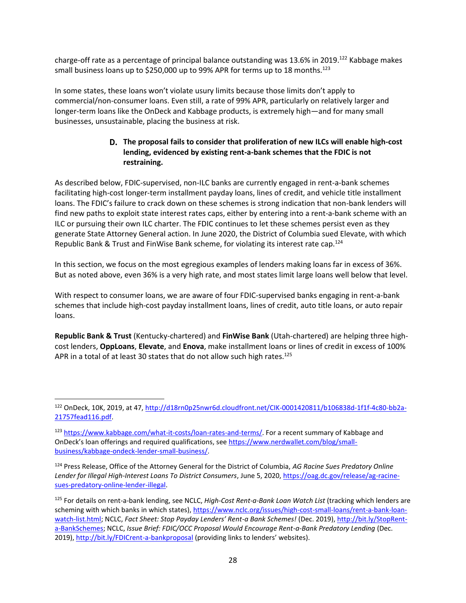charge-off rate as a percentage of principal balance outstanding was 13.6% in 2019.<sup>122</sup> Kabbage makes small business loans up to \$250,000 up to 99% APR for terms up to 18 months.<sup>123</sup>

In some states, these loans won't violate usury limits because those limits don't apply to commercial/non-consumer loans. Even still, a rate of 99% APR, particularly on relatively larger and longer-term loans like the OnDeck and Kabbage products, is extremely high—and for many small businesses, unsustainable, placing the business at risk.

## **The proposal fails to consider that proliferation of new ILCs will enable high-cost lending, evidenced by existing rent-a-bank schemes that the FDIC is not restraining.**

<span id="page-27-0"></span>As described below, FDIC-supervised, non-ILC banks are currently engaged in rent-a-bank schemes facilitating high-cost longer-term installment payday loans, lines of credit, and vehicle title installment loans. The FDIC's failure to crack down on these schemes is strong indication that non-bank lenders will find new paths to exploit state interest rates caps, either by entering into a rent-a-bank scheme with an ILC or pursuing their own ILC charter. The FDIC continues to let these schemes persist even as they generate State Attorney General action. In June 2020, the District of Columbia sued Elevate, with which Republic Bank & Trust and FinWise Bank scheme, for violating its interest rate cap.<sup>124</sup>

In this section, we focus on the most egregious examples of lenders making loans far in excess of 36%. But as noted above, even 36% is a very high rate, and most states limit large loans well below that level.

With respect to consumer loans, we are aware of four FDIC-supervised banks engaging in rent-a-bank schemes that include high-cost payday installment loans, lines of credit, auto title loans, or auto repair loans.

**Republic Bank & Trust** (Kentucky-chartered) and **FinWise Bank** (Utah-chartered) are helping three highcost lenders, **OppLoans**, **Elevate**, and **Enova**, make installment loans or lines of credit in excess of 100% APR in a total of at least 30 states that do not allow such high rates.<sup>125</sup>

<sup>122</sup> OnDeck, 10K, 2019, at 47, [http://d18rn0p25nwr6d.cloudfront.net/CIK-0001420811/b106838d-1f1f-4c80-bb2a-](http://d18rn0p25nwr6d.cloudfront.net/CIK-0001420811/b106838d-1f1f-4c80-bb2a-21757fead116.pdf)[21757fead116.pdf.](http://d18rn0p25nwr6d.cloudfront.net/CIK-0001420811/b106838d-1f1f-4c80-bb2a-21757fead116.pdf)

<sup>123</sup> [https://www.kabbage.com/what-it-costs/loan-rates-and-terms/.](https://www.kabbage.com/what-it-costs/loan-rates-and-terms/) For a recent summary of Kabbage and OnDeck's loan offerings and required qualifications, se[e https://www.nerdwallet.com/blog/small](https://www.nerdwallet.com/blog/small-business/kabbage-ondeck-lender-small-business/)[business/kabbage-ondeck-lender-small-business/.](https://www.nerdwallet.com/blog/small-business/kabbage-ondeck-lender-small-business/)

<sup>124</sup> Press Release, Office of the Attorney General for the District of Columbia, *AG Racine Sues Predatory Online Lender for Illegal High-Interest Loans To District Consumers*, June 5, 2020, [https://oag.dc.gov/release/ag-racine](https://oag.dc.gov/release/ag-racine-sues-predatory-online-lender-illegal)[sues-predatory-online-lender-illegal.](https://oag.dc.gov/release/ag-racine-sues-predatory-online-lender-illegal)

<sup>125</sup> For details on rent-a-bank lending, see NCLC, *High-Cost Rent-a-Bank Loan Watch List* (tracking which lenders are scheming with which banks in which states), [https://www.nclc.org/issues/high-cost-small-loans/rent-a-bank-loan](https://www.nclc.org/issues/high-cost-small-loans/rent-a-bank-loan-watch-list.html)[watch-list.html;](https://www.nclc.org/issues/high-cost-small-loans/rent-a-bank-loan-watch-list.html) NCLC, *Fact Sheet: Stop Payday Lenders' Rent-a Bank Schemes!* (Dec. 2019), [http://bit.ly/StopRent](http://bit.ly/StopRent-a-BankSchemes)[a-BankSchemes;](http://bit.ly/StopRent-a-BankSchemes) NCLC, *Issue Brief: FDIC/OCC Proposal Would Encourage Rent-a-Bank Predatory Lending* (Dec. 2019),<http://bit.ly/FDICrent-a-bankproposal> (providing links to lenders' websites).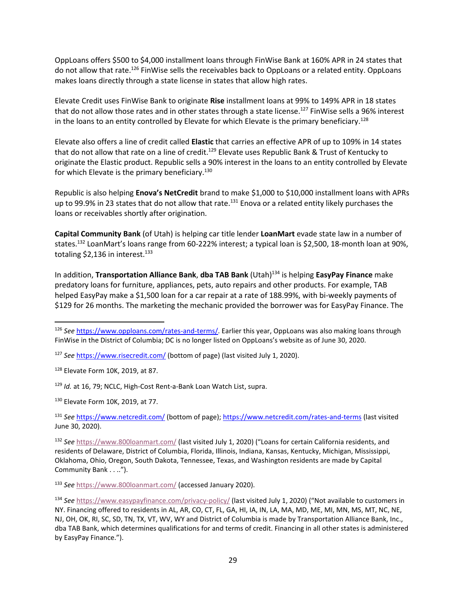OppLoans offers \$500 to \$4,000 installment loans through FinWise Bank at 160% APR in 24 states that do not allow that rate.<sup>126</sup> FinWise sells the receivables back to OppLoans or a related entity. OppLoans makes loans directly through a state license in states that allow high rates.

Elevate Credit uses FinWise Bank to originate **Rise** installment loans at 99% to 149% APR in 18 states that do not allow those rates and in other states through a state license.<sup>127</sup> FinWise sells a 96% interest in the loans to an entity controlled by Elevate for which Elevate is the primary beneficiary.<sup>128</sup>

Elevate also offers a line of credit called **Elastic** that carries an effective APR of up to 109% in 14 states that do not allow that rate on a line of credit.<sup>129</sup> Elevate uses Republic Bank & Trust of Kentucky to originate the Elastic product. Republic sells a 90% interest in the loans to an entity controlled by Elevate for which Elevate is the primary beneficiary.<sup>130</sup>

Republic is also helping **Enova's NetCredit** brand to make \$1,000 to \$10,000 installment loans with APRs up to 99.9% in 23 states that do not allow that rate.<sup>131</sup> Enova or a related entity likely purchases the loans or receivables shortly after origination.

**Capital Community Bank** (of Utah) is helping car title lender **LoanMart** evade state law in a number of states.<sup>132</sup> LoanMart's loans range from 60-222% interest; a typical loan is \$2,500, 18-month loan at 90%, totaling  $$2,136$  in interest.<sup>133</sup>

In addition, **Transportation Alliance Bank**, **dba TAB Bank** (Utah)<sup>134</sup> is helping **EasyPay Finance** make predatory loans for furniture, appliances, pets, auto repairs and other products. For example, TAB helped EasyPay make a \$1,500 loan for a car repair at a rate of 188.99%, with bi-weekly payments of \$129 for 26 months. The marketing the mechanic provided the borrower was for EasyPay Finance. The

<sup>131</sup> *See* <https://www.netcredit.com/> (bottom of page);<https://www.netcredit.com/rates-and-terms> (last visited June 30, 2020).

<sup>132</sup> *See* <https://www.800loanmart.com/> (last visited July 1, 2020) ("Loans for certain California residents, and residents of Delaware, District of Columbia, Florida, Illinois, Indiana, Kansas, Kentucky, Michigan, Mississippi, Oklahoma, Ohio, Oregon, South Dakota, Tennessee, Texas, and Washington residents are made by Capital Community Bank . . ..").

<sup>126</sup> *See* [https://www.opploans.com/rates-and-terms/.](https://www.opploans.com/rates-and-terms/) Earlier this year, OppLoans was also making loans through FinWise in the District of Columbia; DC is no longer listed on OppLoans's website as of June 30, 2020.

<sup>127</sup> *See* <https://www.risecredit.com/> (bottom of page) (last visited July 1, 2020).

<sup>128</sup> Elevate Form 10K, 2019, at 87.

<sup>129</sup> *Id.* at 16, 79; NCLC, High-Cost Rent-a-Bank Loan Watch List, supra.

<sup>130</sup> Elevate Form 10K, 2019, at 77.

<sup>133</sup> *See* <https://www.800loanmart.com/> (accessed January 2020).

<sup>134</sup> *See* <https://www.easypayfinance.com/privacy-policy/> (last visited July 1, 2020) ("Not available to customers in NY. Financing offered to residents in AL, AR, CO, CT, FL, GA, HI, IA, IN, LA, MA, MD, ME, MI, MN, MS, MT, NC, NE, NJ, OH, OK, RI, SC, SD, TN, TX, VT, WV, WY and District of Columbia is made by Transportation Alliance Bank, Inc., dba TAB Bank, which determines qualifications for and terms of credit. Financing in all other states is administered by EasyPay Finance.").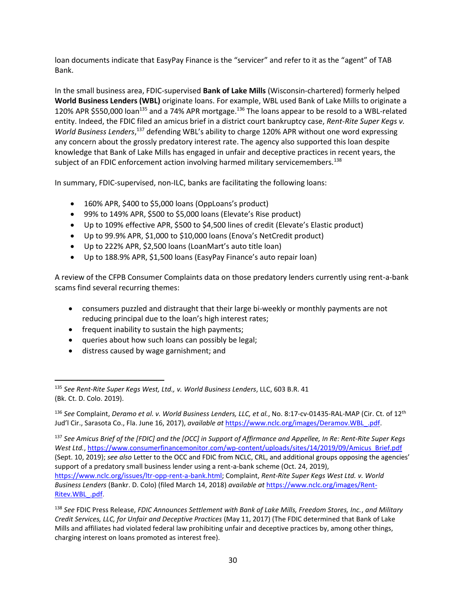loan documents indicate that EasyPay Finance is the "servicer" and refer to it as the "agent" of TAB Bank.

In the small business area, FDIC-supervised **Bank of Lake Mills** (Wisconsin-chartered) formerly helped **World Business Lenders (WBL)** originate loans. For example, WBL used Bank of Lake Mills to originate a 120% APR \$550,000 loan<sup>135</sup> and a 74% APR mortgage.<sup>136</sup> The loans appear to be resold to a WBL-related entity. Indeed, the FDIC filed an amicus brief in a district court bankruptcy case, *Rent-Rite Super Kegs v.*  World Business Lenders,<sup>137</sup> defending WBL's ability to charge 120% APR without one word expressing any concern about the grossly predatory interest rate. The agency also supported this loan despite knowledge that Bank of Lake Mills has engaged in unfair and deceptive practices in recent years, the subject of an FDIC enforcement action involving harmed military servicemembers.<sup>138</sup>

In summary, FDIC-supervised, non-ILC, banks are facilitating the following loans:

- 160% APR, \$400 to \$5,000 loans (OppLoans's product)
- 99% to 149% APR, \$500 to \$5,000 loans (Elevate's Rise product)
- Up to 109% effective APR, \$500 to \$4,500 lines of credit (Elevate's Elastic product)
- Up to 99.9% APR, \$1,000 to \$10,000 loans (Enova's NetCredit product)
- Up to 222% APR, \$2,500 loans (LoanMart's auto title loan)
- Up to 188.9% APR, \$1,500 loans (EasyPay Finance's auto repair loan)

A review of the CFPB Consumer Complaints data on those predatory lenders currently using rent-a-bank scams find several recurring themes:

- consumers puzzled and distraught that their large bi-weekly or monthly payments are not reducing principal due to the loan's high interest rates;
- frequent inability to sustain the high payments;
- queries about how such loans can possibly be legal;
- distress caused by wage garnishment; and

<sup>137</sup> *See Amicus Brief of the [FDIC] and the [OCC] in Support of Affirmance and Appellee, In Re: Rent-Rite Super Kegs West Ltd.*, [https://www.consumerfinancemonitor.com/wp-content/uploads/sites/14/2019/09/Amicus\\_Brief.pdf](https://www.consumerfinancemonitor.com/wp-content/uploads/sites/14/2019/09/Amicus_Brief.pdf) (Sept. 10, 2019); *see also* Letter to the OCC and FDIC from NCLC, CRL, and additional groups opposing the agencies' support of a predatory small business lender using a rent-a-bank scheme (Oct. 24, 2019), [https://www.nclc.org/issues/ltr-opp-rent-a-bank.html;](https://www.nclc.org/issues/ltr-opp-rent-a-bank.html) Complaint, *Rent-Rite Super Kegs West Ltd. v. World Business Lenders* (Bankr. D. Colo) (filed March 14, 2018) *available at* [https://www.nclc.org/images/Rent-](https://www.nclc.org/images/Rent-Ritev.WBL_.pdf)Ritev.WBL .pdf.

<sup>135</sup> *See Rent-Rite Super Kegs West, Ltd., v. World Business Lenders*, LLC, 603 B.R. 41 (Bk. Ct. D. Colo. 2019).

<sup>136</sup> *See* Complaint, *Deramo et al. v. World Business Lenders, LLC, et al.*, No. 8:17-cv-01435-RAL-MAP (Cir. Ct. of 12th Jud'l Cir., Sarasota Co., Fla. June 16, 2017), *available at* [https://www.nclc.org/images/Deramov.WBL\\_.pdf.](https://www.nclc.org/images/Deramov.WBL_.pdf)

<sup>138</sup> *See* FDIC Press Release, *FDIC Announces Settlement with Bank of Lake Mills, Freedom Stores, Inc.*, *and Military Credit Services, LLC, for Unfair and Deceptive Practices* (May 11, 2017) (The FDIC determined that Bank of Lake Mills and affiliates had violated federal law prohibiting unfair and deceptive practices by, among other things, charging interest on loans promoted as interest free).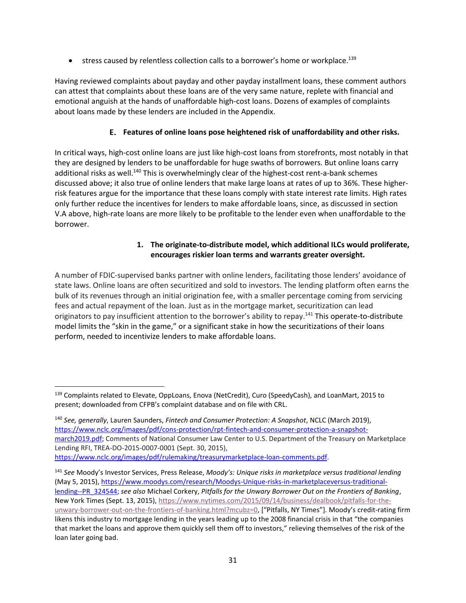• stress caused by relentless collection calls to a borrower's home or workplace.<sup>139</sup>

Having reviewed complaints about payday and other payday installment loans, these comment authors can attest that complaints about these loans are of the very same nature, replete with financial and emotional anguish at the hands of unaffordable high-cost loans. Dozens of examples of complaints about loans made by these lenders are included in the Appendix.

# **Features of online loans pose heightened risk of unaffordability and other risks.**

<span id="page-30-0"></span>In critical ways, high-cost online loans are just like high-cost loans from storefronts, most notably in that they are designed by lenders to be unaffordable for huge swaths of borrowers. But online loans carry additional risks as well.<sup>140</sup> This is overwhelmingly clear of the highest-cost rent-a-bank schemes discussed above; it also true of online lenders that make large loans at rates of up to 36%. These higherrisk features argue for the importance that these loans comply with state interest rate limits. High rates only further reduce the incentives for lenders to make affordable loans, since, as discussed in section V.A above, high-rate loans are more likely to be profitable to the lender even when unaffordable to the borrower.

## **1. The originate-to-distribute model, which additional ILCs would proliferate, encourages riskier loan terms and warrants greater oversight.**

<span id="page-30-1"></span>A number of FDIC-supervised banks partner with online lenders, facilitating those lenders' avoidance of state laws. Online loans are often securitized and sold to investors. The lending platform often earns the bulk of its revenues through an initial origination fee, with a smaller percentage coming from servicing fees and actual repayment of the loan. Just as in the mortgage market, securitization can lead originators to pay insufficient attention to the borrower's ability to repay.<sup>141</sup> This operate-to-distribute model limits the "skin in the game," or a significant stake in how the securitizations of their loans perform, needed to incentivize lenders to make affordable loans.

<sup>139</sup> Complaints related to Elevate, OppLoans, Enova (NetCredit), Curo (SpeedyCash), and LoanMart, 2015 to present; downloaded from CFPB's complaint database and on file with CRL.

<sup>140</sup> *See, generally*, Lauren Saunders, *Fintech and Consumer Protection: A Snapshot*, NCLC (March 2019), [https://www.nclc.org/images/pdf/cons-protection/rpt-fintech-and-consumer-protection-a-snapshot](https://www.nclc.org/images/pdf/cons-protection/rpt-fintech-and-consumer-protection-a-snapshot-march2019.pdf)[march2019.pdf;](https://www.nclc.org/images/pdf/cons-protection/rpt-fintech-and-consumer-protection-a-snapshot-march2019.pdf) Comments of National Consumer Law Center to U.S. Department of the Treasury on Marketplace Lending RFI, TREA-DO-2015-0007-0001 (Sept. 30, 2015),

https://www.nclc.org/images/pdf/rulemaking/treasurymarketplace-loan-comments.pdf.

<sup>141</sup> *See* Moody's Investor Services, Press Release, *Moody's: Unique risks in marketplace versus traditional lending* (May 5, 2015), [https://www.moodys.com/research/Moodys-Unique-risks-in-marketplaceversus-traditional](https://www.moodys.com/research/Moodys-Unique-risks-in-marketplaceversus-traditional-lending--PR_324544)[lending--PR\\_324544;](https://www.moodys.com/research/Moodys-Unique-risks-in-marketplaceversus-traditional-lending--PR_324544) *see also* Michael Corkery, *Pitfalls for the Unwary Borrower Out on the Frontiers of Banking*, New York Times (Sept. 13, 2015)[, https://www.nytimes.com/2015/09/14/business/dealbook/pitfalls-for-the](https://www.nytimes.com/2015/09/14/business/dealbook/pitfalls-for-the-unwary-borrower-out-on-the-frontiers-of-banking.html?mcubz=0)[unwary-borrower-out-on-the-frontiers-of-banking.html?mcubz=0,](https://www.nytimes.com/2015/09/14/business/dealbook/pitfalls-for-the-unwary-borrower-out-on-the-frontiers-of-banking.html?mcubz=0) ["Pitfalls, NY Times"]. Moody's credit-rating firm likens this industry to mortgage lending in the years leading up to the 2008 financial crisis in that "the companies that market the loans and approve them quickly sell them off to investors," relieving themselves of the risk of the loan later going bad.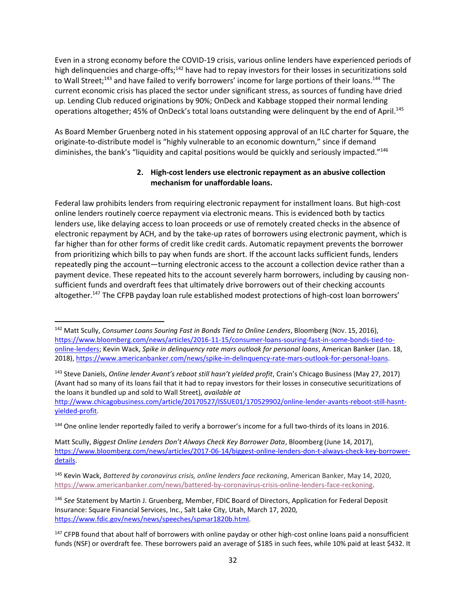Even in a strong economy before the COVID-19 crisis, various online lenders have experienced periods of high delinquencies and charge-offs;<sup>142</sup> have had to repay investors for their losses in securitizations sold to Wall Street;<sup>143</sup> and have failed to verify borrowers' income for large portions of their loans.<sup>144</sup> The current economic crisis has placed the sector under significant stress, as sources of funding have dried up. Lending Club reduced originations by 90%; OnDeck and Kabbage stopped their normal lending operations altogether; 45% of OnDeck's total loans outstanding were delinquent by the end of April.<sup>145</sup>

As Board Member Gruenberg noted in his statement opposing approval of an ILC charter for Square, the originate-to-distribute model is "highly vulnerable to an economic downturn," since if demand diminishes, the bank's "liquidity and capital positions would be quickly and seriously impacted."<sup>146</sup>

## **2. High-cost lenders use electronic repayment as an abusive collection mechanism for unaffordable loans.**

<span id="page-31-0"></span>Federal law prohibits lenders from requiring electronic repayment for installment loans. But high-cost online lenders routinely coerce repayment via electronic means. This is evidenced both by tactics lenders use, like delaying access to loan proceeds or use of remotely created checks in the absence of electronic repayment by ACH, and by the take-up rates of borrowers using electronic payment, which is far higher than for other forms of credit like credit cards. Automatic repayment prevents the borrower from prioritizing which bills to pay when funds are short. If the account lacks sufficient funds, lenders repeatedly ping the account—turning electronic access to the account a collection device rather than a payment device. These repeated hits to the account severely harm borrowers, including by causing nonsufficient funds and overdraft fees that ultimately drive borrowers out of their checking accounts altogether.<sup>147</sup> The CFPB payday loan rule established modest protections of high-cost loan borrowers'

[http://www.chicagobusiness.com/article/20170527/ISSUE01/170529902/online-lender-avants-reboot-still-hasnt](http://www.chicagobusiness.com/article/20170527/ISSUE01/170529902/online-lender-avants-reboot-still-hasnt-yielded-profit)[yielded-profit.](http://www.chicagobusiness.com/article/20170527/ISSUE01/170529902/online-lender-avants-reboot-still-hasnt-yielded-profit)

<sup>142</sup> Matt Scully, *Consumer Loans Souring Fast in Bonds Tied to Online Lenders*, Bloomberg (NOV. 15, 2016), [https://www.bloomberg.com/news/articles/2016-11-15/consumer-loans-souring-fast-in-some-bonds-tied-to](https://www.bloomberg.com/news/articles/2016-11-15/consumer-loans-souring-fast-in-some-bonds-tied-to-online-lenders)[online-lenders;](https://www.bloomberg.com/news/articles/2016-11-15/consumer-loans-souring-fast-in-some-bonds-tied-to-online-lenders) Kevin Wack, *Spike in delinquency rate mars outlook for personal loans*, American Banker (Jan. 18, 2018), [https://www.americanbanker.com/news/spike-in-delinquency-rate-mars-outlook-for-personal-loans.](https://www.americanbanker.com/news/spike-in-delinquency-rate-mars-outlook-for-personal-loans)

<sup>143</sup> Steve Daniels, *Online lender Avant's reboot still hasn't yielded profit*, Crain's Chicago Business (May 27, 2017) (Avant had so many of its loans fail that it had to repay investors for their losses in consecutive securitizations of the loans it bundled up and sold to Wall Street), *available at* 

<sup>&</sup>lt;sup>144</sup> One online lender reportedly failed to verify a borrower's income for a full two-thirds of its loans in 2016.

Matt Scully, *Biggest Online Lenders Don't Always Check Key Borrower Data*, Bloomberg (June 14, 2017), [https://www.bloomberg.com/news/articles/2017-06-14/biggest-online-lenders-don-t-always-check-key-borrower](https://www.bloomberg.com/news/articles/2017-06-14/biggest-online-lenders-don-t-always-check-key-borrower-details)[details.](https://www.bloomberg.com/news/articles/2017-06-14/biggest-online-lenders-don-t-always-check-key-borrower-details)

<sup>145</sup> Kevin Wack, *Battered by coronavirus crisis, online lenders face reckoning*, American Banker, May 14, 2020, [https://www.americanbanker.com/news/battered-by-coronavirus-crisis-online-lenders-face-reckoning.](https://www.americanbanker.com/news/battered-by-coronavirus-crisis-online-lenders-face-reckoning)

<sup>146</sup> *See* Statement by Martin J. Gruenberg, Member, FDIC Board of Directors, Application for Federal Deposit Insurance: Square Financial Services, Inc., Salt Lake City, Utah, March 17, 2020*,*  https://www.fdic.gov/news/news/speeches/spmar1820b.html.

 $147$  CFPB found that about half of borrowers with online payday or other high-cost online loans paid a nonsufficient funds (NSF) or overdraft fee. These borrowers paid an average of \$185 in such fees, while 10% paid at least \$432. It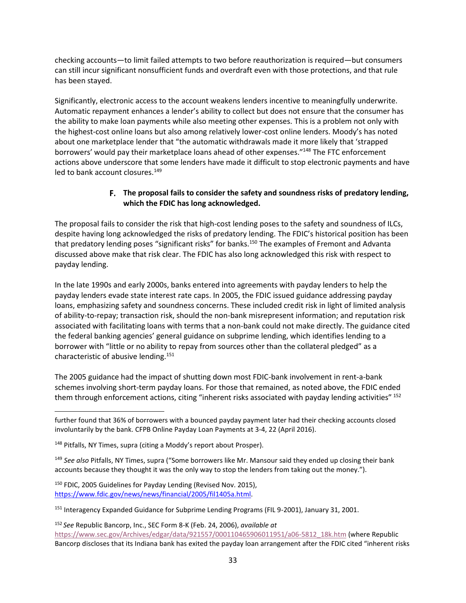checking accounts—to limit failed attempts to two before reauthorization is required—but consumers can still incur significant nonsufficient funds and overdraft even with those protections, and that rule has been stayed.

Significantly, electronic access to the account weakens lenders incentive to meaningfully underwrite. Automatic repayment enhances a lender's ability to collect but does not ensure that the consumer has the ability to make loan payments while also meeting other expenses. This is a problem not only with the highest-cost online loans but also among relatively lower-cost online lenders. Moody's has noted about one marketplace lender that "the automatic withdrawals made it more likely that 'strapped borrowers' would pay their marketplace loans ahead of other expenses."<sup>148</sup> The FTC enforcement actions above underscore that some lenders have made it difficult to stop electronic payments and have led to bank account closures.<sup>149</sup>

## **The proposal fails to consider the safety and soundness risks of predatory lending, which the FDIC has long acknowledged.**

<span id="page-32-0"></span>The proposal fails to consider the risk that high-cost lending poses to the safety and soundness of ILCs, despite having long acknowledged the risks of predatory lending. The FDIC's historical position has been that predatory lending poses "significant risks" for banks.<sup>150</sup> The examples of Fremont and Advanta discussed above make that risk clear. The FDIC has also long acknowledged this risk with respect to payday lending.

In the late 1990s and early 2000s, banks entered into agreements with payday lenders to help the payday lenders evade state interest rate caps. In 2005, the FDIC issued guidance addressing payday loans, emphasizing safety and soundness concerns. These included credit risk in light of limited analysis of ability-to-repay; transaction risk, should the non-bank misrepresent information; and reputation risk associated with facilitating loans with terms that a non-bank could not make directly. The guidance cited the federal banking agencies' general guidance on subprime lending, which identifies lending to a borrower with "little or no ability to repay from sources other than the collateral pledged" as a characteristic of abusive lending.<sup>151</sup>

The 2005 guidance had the impact of shutting down most FDIC-bank involvement in rent-a-bank schemes involving short-term payday loans. For those that remained, as noted above, the FDIC ended them through enforcement actions, citing "inherent risks associated with payday lending activities" 152

<sup>150</sup> FDIC, 2005 Guidelines for Payday Lending (Revised Nov. 2015), [https://www.fdic.gov/news/news/financial/2005/fil1405a.html.](https://www.fdic.gov/news/news/financial/2005/fil1405a.html)

further found that 36% of borrowers with a bounced payday payment later had their checking accounts closed involuntarily by the bank. CFPB Online Payday Loan Payments at 3-4, 22 (April 2016).

<sup>&</sup>lt;sup>148</sup> Pitfalls, NY Times, supra (citing a Moddy's report about Prosper).

<sup>149</sup> *See also* Pitfalls, NY Times, supra ("Some borrowers like Mr. Mansour said they ended up closing their bank accounts because they thought it was the only way to stop the lenders from taking out the money.").

<sup>&</sup>lt;sup>151</sup> Interagency Expanded Guidance for Subprime Lending Programs (FIL 9-2001), January 31, 2001.

<sup>152</sup> *See* Republic Bancorp, Inc., SEC Form 8-K (Feb. 24, 2006), *available at* [https://www.sec.gov/Archives/edgar/data/921557/000110465906011951/a06-5812\\_18k.htm](https://www.sec.gov/Archives/edgar/data/921557/000110465906011951/a06-5812_18k.htm) (where Republic Bancorp discloses that its Indiana bank has exited the payday loan arrangement after the FDIC cited "inherent risks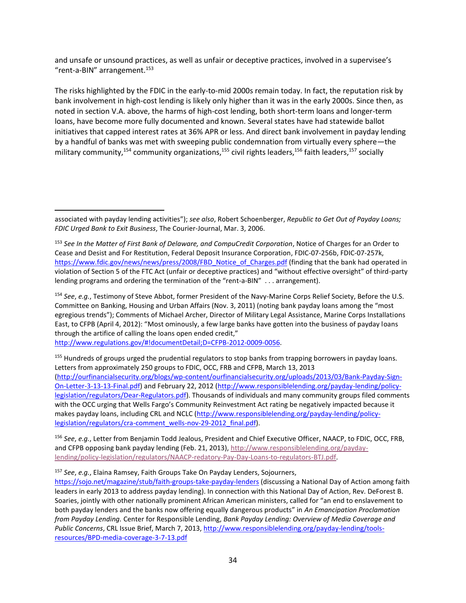and unsafe or unsound practices, as well as unfair or deceptive practices, involved in a supervisee's "rent-a-BIN" arrangement. $153$ 

The risks highlighted by the FDIC in the early-to-mid 2000s remain today. In fact, the reputation risk by bank involvement in high-cost lending is likely only higher than it was in the early 2000s. Since then, as noted in section V.A. above, the harms of high-cost lending, both short-term loans and longer-term loans, have become more fully documented and known. Several states have had statewide ballot initiatives that capped interest rates at 36% APR or less. And direct bank involvement in payday lending by a handful of banks was met with sweeping public condemnation from virtually every sphere—the military community,<sup>154</sup> community organizations,<sup>155</sup> civil rights leaders,<sup>156</sup> faith leaders,<sup>157</sup> socially

[http://www.regulations.gov/#!documentDetail;D=CFPB-2012-0009-0056.](http://www.regulations.gov/#!documentDetail;D=CFPB-2012-0009-0056)

<sup>157</sup> *See*, *e.g.*, Elaina Ramsey, Faith Groups Take On Payday Lenders, Sojourners,

associated with payday lending activities"); *see also*, Robert Schoenberger, *Republic to Get Out of Payday Loans; FDIC Urged Bank to Exit Business*, The Courier-Journal, Mar. 3, 2006.

<sup>153</sup> *See In the Matter of [First Bank of Delaware, and CompuCredit Corporation](http://www.fdic.gov/news/news/press/2008/FBD_Notice_of_Charges.pdf)*, Notice of Charges for an Order to [Cease and Desist and For Restitution, Federal Deposit Insurance Corporation,](http://www.fdic.gov/news/news/press/2008/FBD_Notice_of_Charges.pdf) FDIC-07-256b, FDIC-07-257k, [https://www.fdic.gov/news/news/press/2008/FBD\\_Notice\\_of\\_Charges.pdf](https://www.fdic.gov/news/news/press/2008/FBD_Notice_of_Charges.pdf) (finding that the bank had operated in violation of Section 5 of the FTC Act (unfair or deceptive practices) and "without effective oversight" of third-party lending programs and ordering the termination of the "rent-a-BIN" . . . arrangement).

<sup>154</sup> *See*, *e.g.*, Testimony of Steve Abbot, former President of the Navy-Marine Corps Relief Society, Before the U.S. Committee on Banking, Housing and Urban Affairs (Nov. 3, 2011) (noting bank payday loans among the "most egregious trends"); Comments of Michael Archer, Director of Military Legal Assistance, Marine Corps Installations East, to CFPB (April 4, 2012): "Most ominously, a few large banks have gotten into the business of payday loans through the artifice of calling the loans open ended credit,"

<sup>&</sup>lt;sup>155</sup> Hundreds of groups urged the prudential regulators to stop banks from trapping borrowers in payday loans. Letters from approximately 250 groups to FDIC, OCC, FRB and CFPB, March 13, 2013 [\(http://ourfinancialsecurity.org/blogs/wp-content/ourfinancialsecurity.org/uploads/2013/03/Bank-Payday-Sign-](http://ourfinancialsecurity.org/blogs/wp-content/ourfinancialsecurity.org/uploads/2013/03/Bank-Payday-Sign-On-Letter-3-13-13-Final.pdf)[On-Letter-3-13-13-Final.pdf\)](http://ourfinancialsecurity.org/blogs/wp-content/ourfinancialsecurity.org/uploads/2013/03/Bank-Payday-Sign-On-Letter-3-13-13-Final.pdf) and February 22, 2012 [\(http://www.responsiblelending.org/payday-lending/policy](http://www.responsiblelending.org/payday-lending/policy-legislation/regulators/Dear-Regulators.pdf)[legislation/regulators/Dear-Regulators.pdf\)](http://www.responsiblelending.org/payday-lending/policy-legislation/regulators/Dear-Regulators.pdf). Thousands of individuals and many community groups filed comments with the OCC urging that Wells Fargo's Community Reinvestment Act rating be negatively impacted because it makes payday loans, including CRL and NCLC [\(http://www.responsiblelending.org/payday-lending/policy](http://www.responsiblelending.org/payday-lending/policy-legislation/regulators/cra-comment_wells-nov-29-2012_final.pdf)[legislation/regulators/cra-comment\\_wells-nov-29-2012\\_final.pdf\)](http://www.responsiblelending.org/payday-lending/policy-legislation/regulators/cra-comment_wells-nov-29-2012_final.pdf).

<sup>156</sup> *See*, *e.g.*, Letter from Benjamin Todd Jealous, President and Chief Executive Officer, NAACP, to FDIC, OCC, FRB, and CFPB opposing bank payday lending (Feb. 21, 2013), [http://www.responsiblelending.org/payday](http://www.responsiblelending.org/payday-lending/policy-legislation/regulators/NAACP-redatory-Pay-Day-Loans-to-regulators-BTJ.pdf)[lending/policy-legislation/regulators/NAACP-redatory-Pay-Day-Loans-to-regulators-BTJ.pdf.](http://www.responsiblelending.org/payday-lending/policy-legislation/regulators/NAACP-redatory-Pay-Day-Loans-to-regulators-BTJ.pdf)

<https://sojo.net/magazine/stub/faith-groups-take-payday-lenders> (discussing a National Day of Action among faith leaders in early 2013 to address payday lending). In connection with this National Day of Action, Rev. DeForest B. Soaries, jointly with other nationally prominent African American ministers, called for "an end to enslavement to both payday lenders and the banks now offering equally dangerous products" in *An Emancipation Proclamation from Payday Lending.* Center for Responsible Lending, *Bank Payday Lending: Overview of Media Coverage and Public Concerns*, CRL Issue Brief, March 7, 2013[, http://www.responsiblelending.org/payday-lending/tools](http://www.responsiblelending.org/payday-lending/tools-resources/BPD-media-coverage-3-7-13.pdf)[resources/BPD-media-coverage-3-7-13.pdf](http://www.responsiblelending.org/payday-lending/tools-resources/BPD-media-coverage-3-7-13.pdf)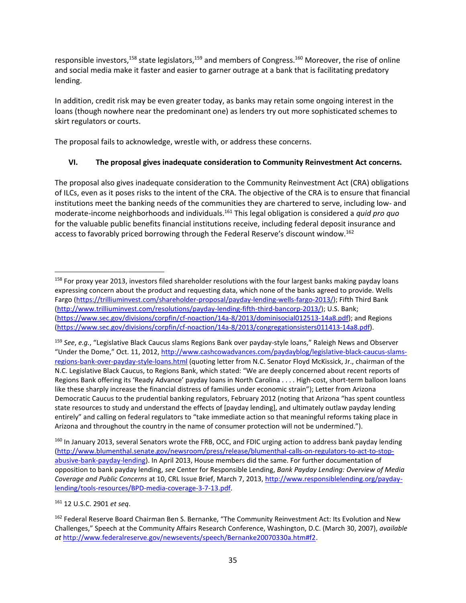responsible investors,<sup>158</sup> state legislators,<sup>159</sup> and members of Congress.<sup>160</sup> Moreover, the rise of online and social media make it faster and easier to garner outrage at a bank that is facilitating predatory lending.

In addition, credit risk may be even greater today, as banks may retain some ongoing interest in the loans (though nowhere near the predominant one) as lenders try out more sophisticated schemes to skirt regulators or courts.

The proposal fails to acknowledge, wrestle with, or address these concerns.

## <span id="page-34-0"></span>**VI. The proposal gives inadequate consideration to Community Reinvestment Act concerns.**

The proposal also gives inadequate consideration to the Community Reinvestment Act (CRA) obligations of ILCs, even as it poses risks to the intent of the CRA. The objective of the CRA is to ensure that financial institutions meet the banking needs of the communities they are chartered to serve, including low- and moderate-income neighborhoods and individuals.<sup>161</sup> This legal obligation is considered a *quid pro quo* for the valuable public benefits financial institutions receive, including federal deposit insurance and access to favorably priced borrowing through the Federal Reserve's discount window.<sup>162</sup>

#### <sup>161</sup> 12 U.S.C. 2901 *et seq*.

<sup>&</sup>lt;sup>158</sup> For proxy year 2013, investors filed shareholder resolutions with the four largest banks making payday loans expressing concern about the product and requesting data, which none of the banks agreed to provide. Wells Fargo [\(https://trilliuminvest.com/shareholder-proposal/payday-lending-wells-fargo-2013/\)](https://trilliuminvest.com/shareholder-proposal/payday-lending-wells-fargo-2013/); Fifth Third Bank [\(http://www.trilliuminvest.com/resolutions/payday-lending-fifth-third-bancorp-2013/\)](http://www.trilliuminvest.com/resolutions/payday-lending-fifth-third-bancorp-2013/); U.S. Bank; [\(https://www.sec.gov/divisions/corpfin/cf-noaction/14a-8/2013/dominisocial012513-14a8.pdf\)](https://www.sec.gov/divisions/corpfin/cf-noaction/14a-8/2013/dominisocial012513-14a8.pdf); and Regions [\(https://www.sec.gov/divisions/corpfin/cf-noaction/14a-8/2013/congregationsisters011413-14a8.pdf\)](https://www.sec.gov/divisions/corpfin/cf-noaction/14a-8/2013/congregationsisters011413-14a8.pdf).

<sup>159</sup> *See*, *e.g.*, "Legislative Black Caucus slams Regions Bank over payday-style loans," Raleigh News and Observer "Under the Dome," Oct. 11, 2012, [http://www.cashcowadvances.com/paydayblog/legislative-black-caucus-slams](http://www.cashcowadvances.com/paydayblog/legislative-black-caucus-slams-regions-bank-over-payday-style-loans.html)[regions-bank-over-payday-style-loans.html](http://www.cashcowadvances.com/paydayblog/legislative-black-caucus-slams-regions-bank-over-payday-style-loans.html) (quoting letter from N.C. Senator Floyd McKissick, Jr., chairman of the N.C. Legislative Black Caucus, to Regions Bank, which stated: "We are deeply concerned about recent reports of Regions Bank offering its 'Ready Advance' payday loans in North Carolina . . . . High-cost, short-term balloon loans like these sharply increase the financial distress of families under economic strain"); Letter from Arizona Democratic Caucus to the prudential banking regulators, February 2012 (noting that Arizona "has spent countless state resources to study and understand the effects of [payday lending], and ultimately outlaw payday lending entirely" and calling on federal regulators to "take immediate action so that meaningful reforms taking place in Arizona and throughout the country in the name of consumer protection will not be undermined.").

<sup>160</sup> In January 2013, several Senators wrote the FRB, OCC, and FDIC urging action to address bank payday lending [\(http://www.blumenthal.senate.gov/newsroom/press/release/blumenthal-calls-on-regulators-to-act-to-stop](http://www.blumenthal.senate.gov/newsroom/press/release/blumenthal-calls-on-regulators-to-act-to-stop-abusive-bank-payday-lending)[abusive-bank-payday-lending\)](http://www.blumenthal.senate.gov/newsroom/press/release/blumenthal-calls-on-regulators-to-act-to-stop-abusive-bank-payday-lending). In April 2013, House members did the same. For further documentation of opposition to bank payday lending, *see* Center for Responsible Lending, *Bank Payday Lending: Overview of Media Coverage and Public Concerns* at 10, CRL Issue Brief, March 7, 2013[, http://www.responsiblelending.org/payday](http://www.responsiblelending.org/payday-lending/tools-resources/BPD-media-coverage-3-7-13.pdf)[lending/tools-resources/BPD-media-coverage-3-7-13.pdf.](http://www.responsiblelending.org/payday-lending/tools-resources/BPD-media-coverage-3-7-13.pdf)

<sup>162</sup> Federal Reserve Board Chairman Ben S. Bernanke, "The Community Reinvestment Act: Its Evolution and New Challenges," Speech at the Community Affairs Research Conference, Washington, D.C. (March 30, 2007), *available at* [http://www.federalreserve.gov/newsevents/speech/Bernanke20070330a.htm#f2.](http://www.federalreserve.gov/newsevents/speech/Bernanke20070330a.htm#f2)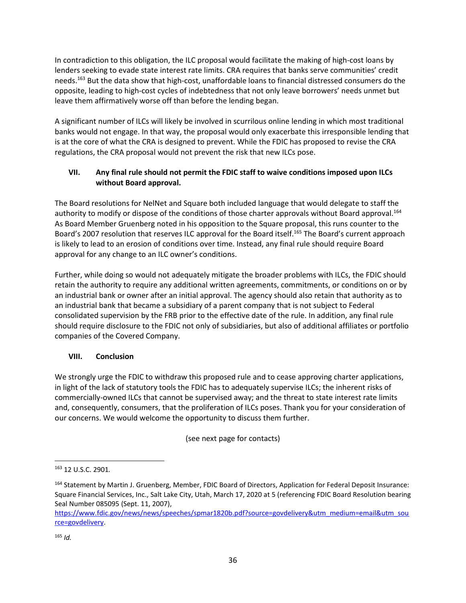In contradiction to this obligation, the ILC proposal would facilitate the making of high-cost loans by lenders seeking to evade state interest rate limits. CRA requires that banks serve communities' credit needs.<sup>163</sup> But the data show that high-cost, unaffordable loans to financial distressed consumers do the opposite, leading to high-cost cycles of indebtedness that not only leave borrowers' needs unmet but leave them affirmatively worse off than before the lending began.

A significant number of ILCs will likely be involved in scurrilous online lending in which most traditional banks would not engage. In that way, the proposal would only exacerbate this irresponsible lending that is at the core of what the CRA is designed to prevent. While the FDIC has proposed to revise the CRA regulations, the CRA proposal would not prevent the risk that new ILCs pose.

# <span id="page-35-0"></span>**VII. Any final rule should not permit the FDIC staff to waive conditions imposed upon ILCs without Board approval.**

The Board resolutions for NelNet and Square both included language that would delegate to staff the authority to modify or dispose of the conditions of those charter approvals without Board approval.<sup>164</sup> As Board Member Gruenberg noted in his opposition to the Square proposal, this runs counter to the Board's 2007 resolution that reserves ILC approval for the Board itself.<sup>165</sup> The Board's current approach is likely to lead to an erosion of conditions over time. Instead, any final rule should require Board approval for any change to an ILC owner's conditions.

Further, while doing so would not adequately mitigate the broader problems with ILCs, the FDIC should retain the authority to require any additional written agreements, commitments, or conditions on or by an industrial bank or owner after an initial approval. The agency should also retain that authority as to an industrial bank that became a subsidiary of a parent company that is not subject to Federal consolidated supervision by the FRB prior to the effective date of the rule. In addition, any final rule should require disclosure to the FDIC not only of subsidiaries, but also of additional affiliates or portfolio companies of the Covered Company.

# <span id="page-35-1"></span>**VIII. Conclusion**

We strongly urge the FDIC to withdraw this proposed rule and to cease approving charter applications, in light of the lack of statutory tools the FDIC has to adequately supervise ILCs; the inherent risks of commercially-owned ILCs that cannot be supervised away; and the threat to state interest rate limits and, consequently, consumers, that the proliferation of ILCs poses. Thank you for your consideration of our concerns. We would welcome the opportunity to discuss them further.

(see next page for contacts)

<sup>163</sup> 12 U.S.C. 2901*.*

<sup>164</sup> Statement by Martin J. Gruenberg, Member, FDIC Board of Directors, Application for Federal Deposit Insurance: Square Financial Services, Inc., Salt Lake City, Utah, March 17, 2020 at 5 (referencing FDIC Board Resolution bearing Seal Number 085095 (Sept. 11, 2007),

[https://www.fdic.gov/news/news/speeches/spmar1820b.pdf?source=govdelivery&utm\\_medium=email&utm\\_sou](https://www.fdic.gov/news/news/speeches/spmar1820b.pdf?source=govdelivery&utm_medium=email&utm_source=govdelivery) [rce=govdelivery.](https://www.fdic.gov/news/news/speeches/spmar1820b.pdf?source=govdelivery&utm_medium=email&utm_source=govdelivery)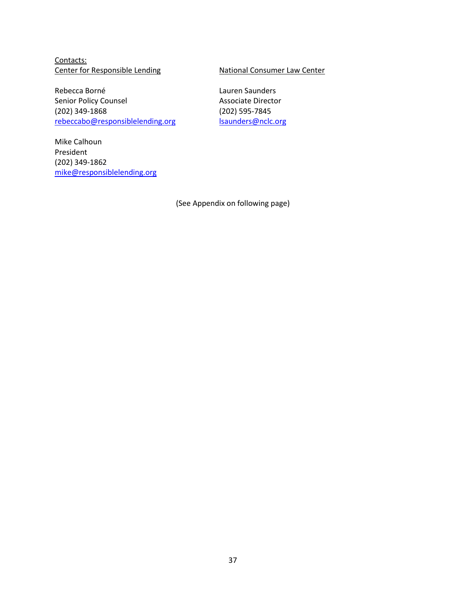Contacts: Center for Responsible Lending National Consumer Law Center

Rebecca Borné **Lauren Saunders** Senior Policy Counsel **Associate Director** (202) 349-1868 (202) 595-7845 [rebeccabo@responsiblelending.org](mailto:rebeccabo@responsiblelending.org) [lsaunders@nclc.org](mailto:lsaunders@nclc.org)

Mike Calhoun President (202) 349-1862 [mike@responsiblelending.org](mailto:mike@responsiblelending.org)

(See Appendix on following page)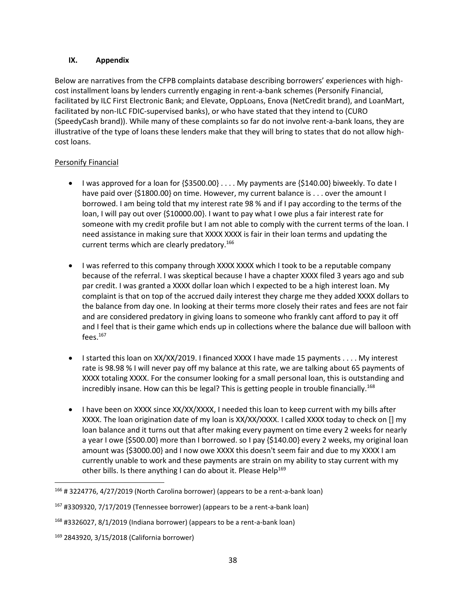#### <span id="page-37-0"></span>**IX. Appendix**

Below are narratives from the CFPB complaints database describing borrowers' experiences with highcost installment loans by lenders currently engaging in rent-a-bank schemes (Personify Financial, facilitated by ILC First Electronic Bank; and Elevate, OppLoans, Enova (NetCredit brand), and LoanMart, facilitated by non-ILC FDIC-supervised banks), or who have stated that they intend to (CURO (SpeedyCash brand)). While many of these complaints so far do not involve rent-a-bank loans, they are illustrative of the type of loans these lenders make that they will bring to states that do not allow highcost loans.

## Personify Financial

- I was approved for a loan for {\$3500.00} . . . . My payments are {\$140.00} biweekly. To date I have paid over {\$1800.00} on time. However, my current balance is . . . over the amount I borrowed. I am being told that my interest rate 98 % and if I pay according to the terms of the loan, I will pay out over {\$10000.00}. I want to pay what I owe plus a fair interest rate for someone with my credit profile but I am not able to comply with the current terms of the loan. I need assistance in making sure that XXXX XXXX is fair in their loan terms and updating the current terms which are clearly predatory.<sup>166</sup>
- I was referred to this company through XXXX XXXX which I took to be a reputable company because of the referral. I was skeptical because I have a chapter XXXX filed 3 years ago and sub par credit. I was granted a XXXX dollar loan which I expected to be a high interest loan. My complaint is that on top of the accrued daily interest they charge me they added XXXX dollars to the balance from day one. In looking at their terms more closely their rates and fees are not fair and are considered predatory in giving loans to someone who frankly cant afford to pay it off and I feel that is their game which ends up in collections where the balance due will balloon with fees. $167$
- I started this loan on XX/XX/2019. I financed XXXX I have made 15 payments . . . . My interest rate is 98.98 % I will never pay off my balance at this rate, we are talking about 65 payments of XXXX totaling XXXX. For the consumer looking for a small personal loan, this is outstanding and incredibly insane. How can this be legal? This is getting people in trouble financially.<sup>168</sup>
- I have been on XXXX since XX/XX/XXXX, I needed this loan to keep current with my bills after XXXX. The loan origination date of my loan is XX/XX/XXXX. I called XXXX today to check on [] my loan balance and it turns out that after making every payment on time every 2 weeks for nearly a year I owe {\$500.00} more than I borrowed. so I pay {\$140.00} every 2 weeks, my original loan amount was {\$3000.00} and I now owe XXXX this doesn't seem fair and due to my XXXX I am currently unable to work and these payments are strain on my ability to stay current with my other bills. Is there anything I can do about it. Please Help<sup>169</sup>

<sup>166</sup> # 3224776, 4/27/2019 (North Carolina borrower) (appears to be a rent-a-bank loan)

 $167$  #3309320, 7/17/2019 (Tennessee borrower) (appears to be a rent-a-bank loan)

 $168$  #3326027, 8/1/2019 (Indiana borrower) (appears to be a rent-a-bank loan)

<sup>169</sup> 2843920, 3/15/2018 (California borrower)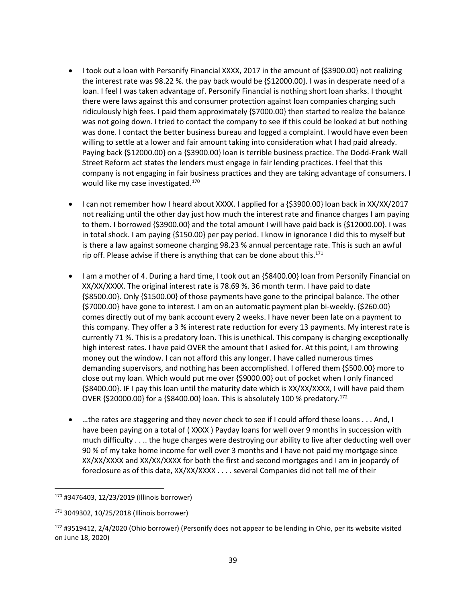- I took out a loan with Personify Financial XXXX, 2017 in the amount of {\$3900.00} not realizing the interest rate was 98.22 %. the pay back would be {\$12000.00}. I was in desperate need of a loan. I feel I was taken advantage of. Personify Financial is nothing short loan sharks. I thought there were laws against this and consumer protection against loan companies charging such ridiculously high fees. I paid them approximately {\$7000.00} then started to realize the balance was not going down. I tried to contact the company to see if this could be looked at but nothing was done. I contact the better business bureau and logged a complaint. I would have even been willing to settle at a lower and fair amount taking into consideration what I had paid already. Paying back {\$12000.00} on a {\$3900.00} loan is terrible business practice. The Dodd-Frank Wall Street Reform act states the lenders must engage in fair lending practices. I feel that this company is not engaging in fair business practices and they are taking advantage of consumers. I would like my case investigated.<sup>170</sup>
- I can not remember how I heard about XXXX. I applied for a {\$3900.00} loan back in XX/XX/2017 not realizing until the other day just how much the interest rate and finance charges I am paying to them. I borrowed {\$3900.00} and the total amount I will have paid back is {\$12000.00}. I was in total shock. I am paying {\$150.00} per pay period. I know in ignorance I did this to myself but is there a law against someone charging 98.23 % annual percentage rate. This is such an awful rip off. Please advise if there is anything that can be done about this. $171$
- I am a mother of 4. During a hard time, I took out an {\$8400.00} loan from Personify Financial on XX/XX/XXXX. The original interest rate is 78.69 %. 36 month term. I have paid to date {\$8500.00}. Only {\$1500.00} of those payments have gone to the principal balance. The other {\$7000.00} have gone to interest. I am on an automatic payment plan bi-weekly. {\$260.00} comes directly out of my bank account every 2 weeks. I have never been late on a payment to this company. They offer a 3 % interest rate reduction for every 13 payments. My interest rate is currently 71 %. This is a predatory loan. This is unethical. This company is charging exceptionally high interest rates. I have paid OVER the amount that I asked for. At this point, I am throwing money out the window. I can not afford this any longer. I have called numerous times demanding supervisors, and nothing has been accomplished. I offered them {\$500.00} more to close out my loan. Which would put me over {\$9000.00} out of pocket when I only financed {\$8400.00}. IF I pay this loan until the maturity date which is XX/XX/XXXX, I will have paid them OVER  $\{520000.00\}$  for a  $\{58400.00\}$  loan. This is absolutely 100 % predatory.<sup>172</sup>
- …the rates are staggering and they never check to see if I could afford these loans . . . And, I have been paying on a total of ( XXXX ) Payday loans for well over 9 months in succession with much difficulty . . .. the huge charges were destroying our ability to live after deducting well over 90 % of my take home income for well over 3 months and I have not paid my mortgage since XX/XX/XXXX and XX/XX/XXXX for both the first and second mortgages and I am in jeopardy of foreclosure as of this date, XX/XX/XXXX . . . . several Companies did not tell me of their

<sup>170</sup> #3476403, 12/23/2019 (Illinois borrower)

<sup>171</sup> 3049302, 10/25/2018 (Illinois borrower)

<sup>172 #3519412, 2/4/2020 (</sup>Ohio borrower) (Personify does not appear to be lending in Ohio, per its website visited on June 18, 2020)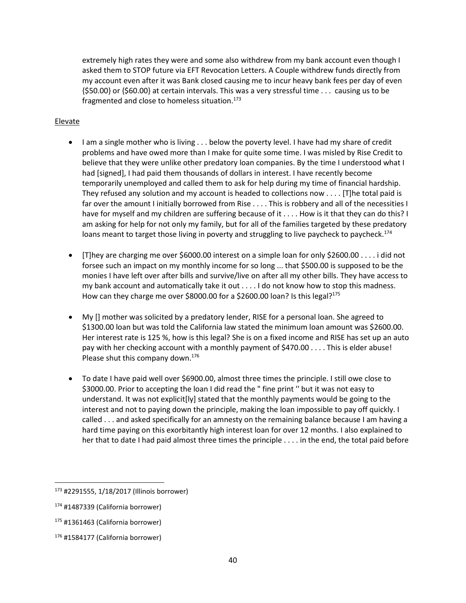extremely high rates they were and some also withdrew from my bank account even though I asked them to STOP future via EFT Revocation Letters. A Couple withdrew funds directly from my account even after it was Bank closed causing me to incur heavy bank fees per day of even {\$50.00} or {\$60.00} at certain intervals. This was a very stressful time . . . causing us to be fragmented and close to homeless situation.<sup>173</sup>

#### Elevate

- I am a single mother who is living . . . below the poverty level. I have had my share of credit problems and have owed more than I make for quite some time. I was misled by Rise Credit to believe that they were unlike other predatory loan companies. By the time I understood what I had [signed], I had paid them thousands of dollars in interest. I have recently become temporarily unemployed and called them to ask for help during my time of financial hardship. They refused any solution and my account is headed to collections now . . . . [T]he total paid is far over the amount I initially borrowed from Rise . . . . This is robbery and all of the necessities I have for myself and my children are suffering because of it . . . . How is it that they can do this? I am asking for help for not only my family, but for all of the families targeted by these predatory loans meant to target those living in poverty and struggling to live paycheck to paycheck.<sup>174</sup>
- [T]hey are charging me over \$6000.00 interest on a simple loan for only \$2600.00 . . . . i did not forsee such an impact on my monthly income for so long ... that \$500.00 is supposed to be the monies I have left over after bills and survive/live on after all my other bills. They have access to my bank account and automatically take it out . . . . I do not know how to stop this madness. How can they charge me over \$8000.00 for a \$2600.00 loan? Is this legal?<sup>175</sup>
- My [] mother was solicited by a predatory lender, RISE for a personal loan. She agreed to \$1300.00 loan but was told the California law stated the minimum loan amount was \$2600.00. Her interest rate is 125 %, how is this legal? She is on a fixed income and RISE has set up an auto pay with her checking account with a monthly payment of \$470.00 . . . . This is elder abuse! Please shut this company down.<sup>176</sup>
- To date I have paid well over \$6900.00, almost three times the principle. I still owe close to \$3000.00. Prior to accepting the loan I did read the " fine print '' but it was not easy to understand. It was not explicit[ly] stated that the monthly payments would be going to the interest and not to paying down the principle, making the loan impossible to pay off quickly. I called . . . and asked specifically for an amnesty on the remaining balance because I am having a hard time paying on this exorbitantly high interest loan for over 12 months. I also explained to her that to date I had paid almost three times the principle . . . . in the end, the total paid before

<sup>173</sup> #2291555, 1/18/2017 (Illinois borrower)

<sup>174</sup> #1487339 (California borrower)

 $175$  #1361463 (California borrower)

<sup>176</sup> #1584177 (California borrower)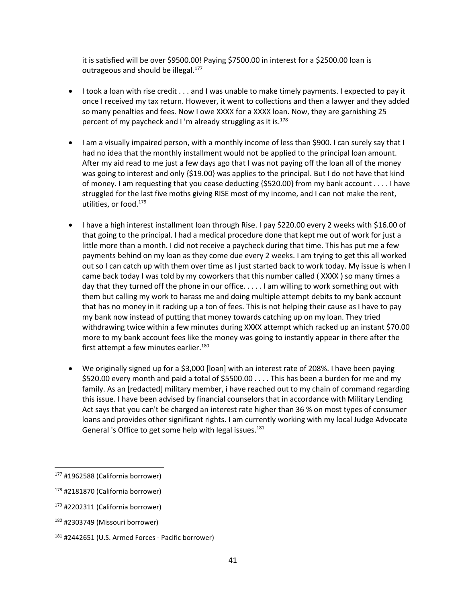it is satisfied will be over \$9500.00! Paying \$7500.00 in interest for a \$2500.00 loan is outrageous and should be illegal. $177$ 

- I took a loan with rise credit . . . and I was unable to make timely payments. I expected to pay it once I received my tax return. However, it went to collections and then a lawyer and they added so many penalties and fees. Now I owe XXXX for a XXXX loan. Now, they are garnishing 25 percent of my paycheck and I 'm already struggling as it is.<sup>178</sup>
- I am a visually impaired person, with a monthly income of less than \$900. I can surely say that I had no idea that the monthly installment would not be applied to the principal loan amount. After my aid read to me just a few days ago that I was not paying off the loan all of the money was going to interest and only {\$19.00} was applies to the principal. But I do not have that kind of money. I am requesting that you cease deducting {\$520.00} from my bank account . . . . I have struggled for the last five moths giving RISE most of my income, and I can not make the rent, utilities, or food.<sup>179</sup>
- I have a high interest installment loan through Rise. I pay \$220.00 every 2 weeks with \$16.00 of that going to the principal. I had a medical procedure done that kept me out of work for just a little more than a month. I did not receive a paycheck during that time. This has put me a few payments behind on my loan as they come due every 2 weeks. I am trying to get this all worked out so I can catch up with them over time as I just started back to work today. My issue is when I came back today I was told by my coworkers that this number called (XXXX) so many times a day that they turned off the phone in our office. . . . . I am willing to work something out with them but calling my work to harass me and doing multiple attempt debits to my bank account that has no money in it racking up a ton of fees. This is not helping their cause as I have to pay my bank now instead of putting that money towards catching up on my loan. They tried withdrawing twice within a few minutes during XXXX attempt which racked up an instant \$70.00 more to my bank account fees like the money was going to instantly appear in there after the first attempt a few minutes earlier.<sup>180</sup>
- We originally signed up for a \$3,000 [loan] with an interest rate of 208%. I have been paying \$520.00 every month and paid a total of \$5500.00 . . . . This has been a burden for me and my family. As an [redacted] military member, i have reached out to my chain of command regarding this issue. I have been advised by financial counselors that in accordance with Military Lending Act says that you can't be charged an interest rate higher than 36 % on most types of consumer loans and provides other significant rights. I am currently working with my local Judge Advocate General 's Office to get some help with legal issues.<sup>181</sup>

<sup>177</sup> #1962588 (California borrower)

<sup>178</sup> #2181870 (California borrower)

<sup>179</sup> #2202311 (California borrower)

<sup>180</sup> #2303749 (Missouri borrower)

<sup>181 #2442651 (</sup>U.S. Armed Forces - Pacific borrower)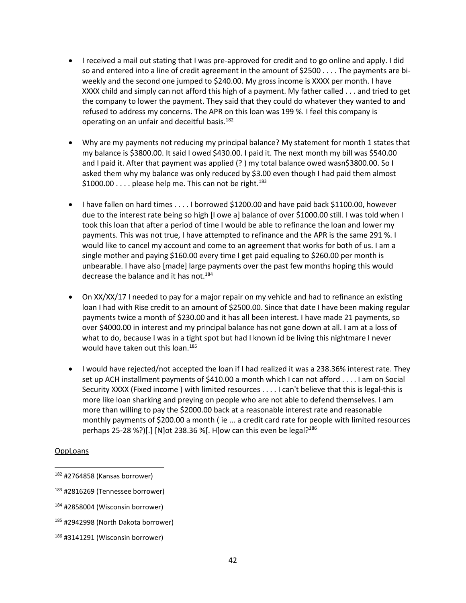- I received a mail out stating that I was pre-approved for credit and to go online and apply. I did so and entered into a line of credit agreement in the amount of \$2500 . . . . The payments are biweekly and the second one jumped to \$240.00. My gross income is XXXX per month. I have XXXX child and simply can not afford this high of a payment. My father called . . . and tried to get the company to lower the payment. They said that they could do whatever they wanted to and refused to address my concerns. The APR on this loan was 199 %. I feel this company is operating on an unfair and deceitful basis.<sup>182</sup>
- Why are my payments not reducing my principal balance? My statement for month 1 states that my balance is \$3800.00. It said I owed \$430.00. I paid it. The next month my bill was \$540.00 and I paid it. After that payment was applied (? ) my total balance owed wasn\$3800.00. So I asked them why my balance was only reduced by \$3.00 even though I had paid them almost \$1000.00  $\dots$  please help me. This can not be right.<sup>183</sup>
- I have fallen on hard times . . . . I borrowed \$1200.00 and have paid back \$1100.00, however due to the interest rate being so high [I owe a] balance of over \$1000.00 still. I was told when I took this loan that after a period of time I would be able to refinance the loan and lower my payments. This was not true, I have attempted to refinance and the APR is the same 291 %. I would like to cancel my account and come to an agreement that works for both of us. I am a single mother and paying \$160.00 every time I get paid equaling to \$260.00 per month is unbearable. I have also [made] large payments over the past few months hoping this would decrease the balance and it has not.<sup>184</sup>
- On XX/XX/17 I needed to pay for a major repair on my vehicle and had to refinance an existing loan I had with Rise credit to an amount of \$2500.00. Since that date I have been making regular payments twice a month of \$230.00 and it has all been interest. I have made 21 payments, so over \$4000.00 in interest and my principal balance has not gone down at all. I am at a loss of what to do, because I was in a tight spot but had I known id be living this nightmare I never would have taken out this loan.<sup>185</sup>
- I would have rejected/not accepted the loan if I had realized it was a 238.36% interest rate. They set up ACH installment payments of \$410.00 a month which I can not afford . . . . I am on Social Security XXXX (Fixed income ) with limited resources . . . . I can't believe that this is legal-this is more like loan sharking and preying on people who are not able to defend themselves. I am more than willing to pay the \$2000.00 back at a reasonable interest rate and reasonable monthly payments of \$200.00 a month ( ie ... a credit card rate for people with limited resources perhaps 25-28 %?)[.] [N]ot 238.36 %[. H]ow can this even be legal?<sup>186</sup>

#### OppLoans

<sup>182</sup> #2764858 (Kansas borrower)

<sup>183</sup> #2816269 (Tennessee borrower)

<sup>184</sup> #2858004 (Wisconsin borrower)

<sup>185 #2942998 (</sup>North Dakota borrower)

<sup>186</sup> #3141291 (Wisconsin borrower)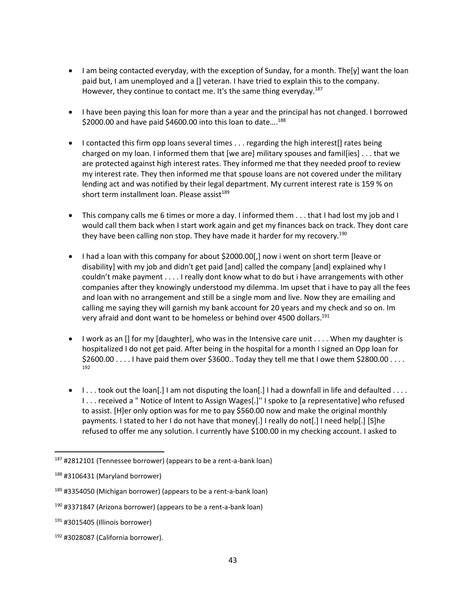- I am being contacted everyday, with the exception of Sunday, for a month. The[y] want the loan paid but, I am unemployed and a [] veteran. I have tried to explain this to the company. However, they continue to contact me. It's the same thing everyday.<sup>187</sup>
- I have been paying this loan for more than a year and the principal has not changed. I borrowed \$2000.00 and have paid \$4600.00 into this loan to date....<sup>188</sup>
- I contacted this firm opp loans several times . . . regarding the high interest[] rates being charged on my loan. I informed them that [we are] military spouses and famil[ies] . . . that we are protected against high interest rates. They informed me that they needed proof to review my interest rate. They then informed me that spouse loans are not covered under the military lending act and was notified by their legal department. My current interest rate is 159 % on short term installment loan. Please assist<sup>189</sup>
- This company calls me 6 times or more a day. I informed them . . . that I had lost my job and I would call them back when I start work again and get my finances back on track. They dont care they have been calling non stop. They have made it harder for my recovery.<sup>190</sup>
- I had a loan with this company for about \$2000.00[,] now i went on short term [leave or disability] with my job and didn't get paid [and] called the company [and] explained why I couldn't make payment . . . . I really dont know what to do but i have arrangements with other companies after they knowingly understood my dilemma. Im upset that i have to pay all the fees and loan with no arrangement and still be a single mom and live. Now they are emailing and calling me saying they will garnish my bank account for 20 years and my check and so on. Im very afraid and dont want to be homeless or behind over 4500 dollars.<sup>191</sup>
- I work as an [] for my [daughter], who was in the Intensive care unit . . . . When my daughter is hospitalized I do not get paid. After being in the hospital for a month I signed an Opp loan for \$2600.00 . . . . I have paid them over \$3600.. Today they tell me that I owe them \$2800.00 . . . . 192
- $\bullet$   $\top$ ...took out the loan.  $\top$  am not disputing the loan.  $\top$  I had a downfall in life and defaulted .... I . . . received a " Notice of Intent to Assign Wages[.]'' I spoke to [a representative] who refused to assist. [H]er only option was for me to pay \$560.00 now and make the original monthly payments. I stated to her I do not have that money[.] I really do not[.] I need help[.] [S]he refused to offer me any solution. I currently have \$100.00 in my checking account. I asked to

<sup>187 #2812101 (</sup>Tennessee borrower) (appears to be a rent-a-bank loan)

 $188$  #3106431 (Maryland borrower)

 $189$  #3354050 (Michigan borrower) (appears to be a rent-a-bank loan)

 $190$  #3371847 (Arizona borrower) (appears to be a rent-a-bank loan)

 $191$  #3015405 (Illinois borrower)

 $192$  #3028087 (California borrower).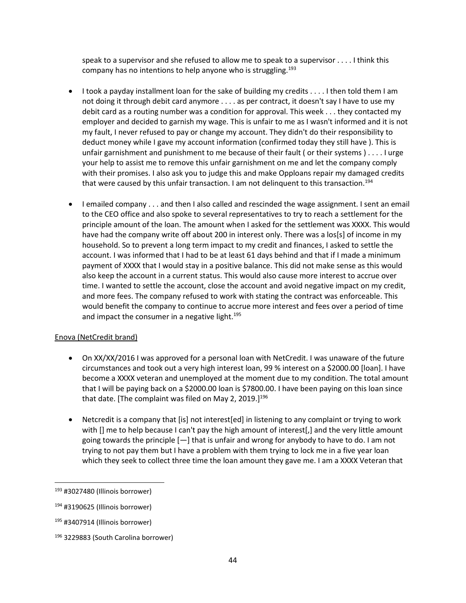speak to a supervisor and she refused to allow me to speak to a supervisor . . . . I think this company has no intentions to help anyone who is struggling.<sup>193</sup>

- I took a payday installment loan for the sake of building my credits . . . . I then told them I am not doing it through debit card anymore . . . . as per contract, it doesn't say I have to use my debit card as a routing number was a condition for approval. This week . . . they contacted my employer and decided to garnish my wage. This is unfair to me as I wasn't informed and it is not my fault, I never refused to pay or change my account. They didn't do their responsibility to deduct money while I gave my account information (confirmed today they still have ). This is unfair garnishment and punishment to me because of their fault ( or their systems ) . . . . I urge your help to assist me to remove this unfair garnishment on me and let the company comply with their promises. I also ask you to judge this and make Opploans repair my damaged credits that were caused by this unfair transaction. I am not delinquent to this transaction.<sup>194</sup>
- I emailed company . . . and then I also called and rescinded the wage assignment. I sent an email to the CEO office and also spoke to several representatives to try to reach a settlement for the principle amount of the loan. The amount when I asked for the settlement was XXXX. This would have had the company write off about 200 in interest only. There was a los[s] of income in my household. So to prevent a long term impact to my credit and finances, I asked to settle the account. I was informed that I had to be at least 61 days behind and that if I made a minimum payment of XXXX that I would stay in a positive balance. This did not make sense as this would also keep the account in a current status. This would also cause more interest to accrue over time. I wanted to settle the account, close the account and avoid negative impact on my credit, and more fees. The company refused to work with stating the contract was enforceable. This would benefit the company to continue to accrue more interest and fees over a period of time and impact the consumer in a negative light. $195$

#### Enova (NetCredit brand)

- On XX/XX/2016 I was approved for a personal loan with NetCredit. I was unaware of the future circumstances and took out a very high interest loan, 99 % interest on a \$2000.00 [loan]. I have become a XXXX veteran and unemployed at the moment due to my condition. The total amount that I will be paying back on a \$2000.00 loan is \$7800.00. I have been paying on this loan since that date. [The complaint was filed on May 2, 2019.] $196$
- Netcredit is a company that [is] not interest[ed] in listening to any complaint or trying to work with [] me to help because I can't pay the high amount of interest[,] and the very little amount going towards the principle [—] that is unfair and wrong for anybody to have to do. I am not trying to not pay them but I have a problem with them trying to lock me in a five year loan which they seek to collect three time the loan amount they gave me. I am a XXXX Veteran that

<sup>193</sup> #3027480 (Illinois borrower)

<sup>194</sup> #3190625 (Illinois borrower)

<sup>195</sup> #3407914 (Illinois borrower)

<sup>196</sup> 3229883 (South Carolina borrower)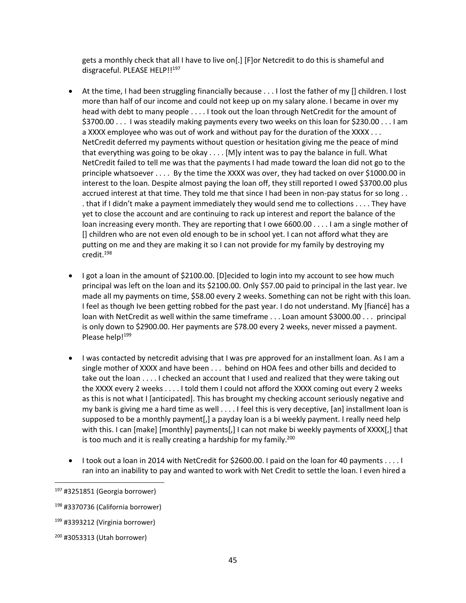gets a monthly check that all I have to live on[.] [F]or Netcredit to do this is shameful and disgraceful. PLEASE HELP!!<sup>197</sup>

- At the time, I had been struggling financially because . . . I lost the father of my [] children. I lost more than half of our income and could not keep up on my salary alone. I became in over my head with debt to many people . . . . I took out the loan through NetCredit for the amount of \$3700.00 . . . I was steadily making payments every two weeks on this loan for \$230.00 . . . I am a XXXX employee who was out of work and without pay for the duration of the XXXX . . . NetCredit deferred my payments without question or hesitation giving me the peace of mind that everything was going to be okay . . . . [M]y intent was to pay the balance in full. What NetCredit failed to tell me was that the payments I had made toward the loan did not go to the principle whatsoever . . . . By the time the XXXX was over, they had tacked on over \$1000.00 in interest to the loan. Despite almost paying the loan off, they still reported I owed \$3700.00 plus accrued interest at that time. They told me that since I had been in non-pay status for so long . . . that if I didn't make a payment immediately they would send me to collections . . . . They have yet to close the account and are continuing to rack up interest and report the balance of the loan increasing every month. They are reporting that I owe 6600.00 . . . . I am a single mother of [] children who are not even old enough to be in school yet. I can not afford what they are putting on me and they are making it so I can not provide for my family by destroying my credit.<sup>198</sup>
- I got a loan in the amount of \$2100.00. [D]ecided to login into my account to see how much principal was left on the loan and its \$2100.00. Only \$57.00 paid to principal in the last year. Ive made all my payments on time, \$58.00 every 2 weeks. Something can not be right with this loan. I feel as though Ive been getting robbed for the past year. I do not understand. My [fiancé] has a loan with NetCredit as well within the same timeframe . . . Loan amount \$3000.00 . . . principal is only down to \$2900.00. Her payments are \$78.00 every 2 weeks, never missed a payment. Please help!<sup>199</sup>
- I was contacted by netcredit advising that I was pre approved for an installment loan. As I am a single mother of XXXX and have been . . . behind on HOA fees and other bills and decided to take out the loan . . . . I checked an account that I used and realized that they were taking out the XXXX every 2 weeks . . . . I told them I could not afford the XXXX coming out every 2 weeks as this is not what I [anticipated]. This has brought my checking account seriously negative and my bank is giving me a hard time as well . . . . I feel this is very deceptive, [an] installment loan is supposed to be a monthly payment[,] a payday loan is a bi weekly payment. I really need help with this. I can [make] [monthly] payments[,] I can not make bi weekly payments of XXXX[,] that is too much and it is really creating a hardship for my family.<sup>200</sup>
- I took out a loan in 2014 with NetCredit for \$2600.00. I paid on the loan for 40 payments . . . . I ran into an inability to pay and wanted to work with Net Credit to settle the loan. I even hired a

<sup>197</sup> #3251851 (Georgia borrower)

<sup>198</sup> #3370736 (California borrower)

<sup>199</sup> #3393212 (Virginia borrower)

<sup>200</sup> #3053313 (Utah borrower)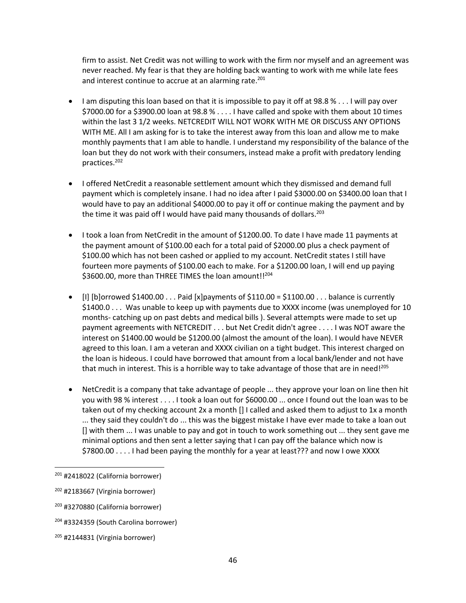firm to assist. Net Credit was not willing to work with the firm nor myself and an agreement was never reached. My fear is that they are holding back wanting to work with me while late fees and interest continue to accrue at an alarming rate. $201$ 

- I am disputing this loan based on that it is impossible to pay it off at 98.8 % . . . I will pay over \$7000.00 for a \$3900.00 loan at 98.8 % . . . . I have called and spoke with them about 10 times within the last 3 1/2 weeks. NETCREDIT WILL NOT WORK WITH ME OR DISCUSS ANY OPTIONS WITH ME. All I am asking for is to take the interest away from this loan and allow me to make monthly payments that I am able to handle. I understand my responsibility of the balance of the loan but they do not work with their consumers, instead make a profit with predatory lending practices.<sup>202</sup>
- I offered NetCredit a reasonable settlement amount which they dismissed and demand full payment which is completely insane. I had no idea after I paid \$3000.00 on \$3400.00 loan that I would have to pay an additional \$4000.00 to pay it off or continue making the payment and by the time it was paid off I would have paid many thousands of dollars.<sup>203</sup>
- I took a loan from NetCredit in the amount of \$1200.00. To date I have made 11 payments at the payment amount of \$100.00 each for a total paid of \$2000.00 plus a check payment of \$100.00 which has not been cashed or applied to my account. NetCredit states I still have fourteen more payments of \$100.00 each to make. For a \$1200.00 loan, I will end up paying \$3600.00, more than THREE TIMES the loan amount!!<sup>204</sup>
- $[1]$  [b]orrowed \$1400.00  $\ldots$  Paid [x]payments of \$110.00 = \$1100.00  $\ldots$  balance is currently \$1400.0 . . . Was unable to keep up with payments due to XXXX income (was unemployed for 10 months- catching up on past debts and medical bills ). Several attempts were made to set up payment agreements with NETCREDIT . . . but Net Credit didn't agree . . . . I was NOT aware the interest on \$1400.00 would be \$1200.00 (almost the amount of the loan). I would have NEVER agreed to this loan. I am a veteran and XXXX civilian on a tight budget. This interest charged on the loan is hideous. I could have borrowed that amount from a local bank/lender and not have that much in interest. This is a horrible way to take advantage of those that are in need!<sup>205</sup>
- NetCredit is a company that take advantage of people ... they approve your loan on line then hit you with 98 % interest . . . . I took a loan out for \$6000.00 ... once I found out the loan was to be taken out of my checking account 2x a month [] I called and asked them to adjust to 1x a month ... they said they couldn't do ... this was the biggest mistake I have ever made to take a loan out [] with them ... I was unable to pay and got in touch to work something out ... they sent gave me minimal options and then sent a letter saying that I can pay off the balance which now is \$7800.00 . . . . I had been paying the monthly for a year at least??? and now I owe XXXX

<sup>201</sup> #2418022 (California borrower)

 $202$  #2183667 (Virginia borrower)

 $203$  #3270880 (California borrower)

<sup>&</sup>lt;sup>204</sup> #3324359 (South Carolina borrower)

 $205$  #2144831 (Virginia borrower)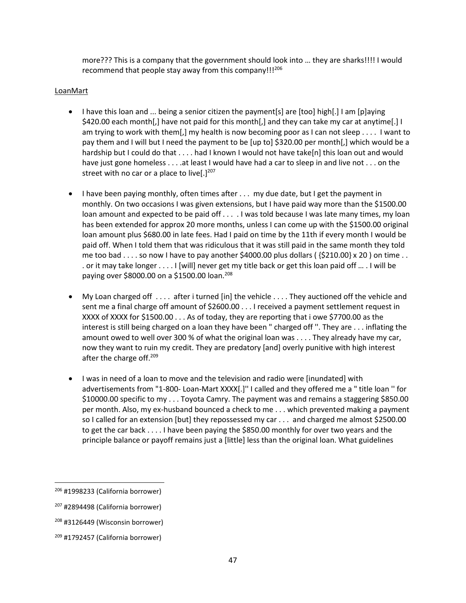more??? This is a company that the government should look into … they are sharks!!!! I would recommend that people stay away from this company!!! $^{206}$ 

#### LoanMart

- I have this loan and ... being a senior citizen the payment[s] are [too] high[.] I am [p]aying \$420.00 each month[,] have not paid for this month[,] and they can take my car at anytime[.] I am trying to work with them[,] my health is now becoming poor as I can not sleep . . . . I want to pay them and I will but I need the payment to be [up to] \$320.00 per month[,] which would be a hardship but I could do that . . . . had I known I would not have take[n] this loan out and would have just gone homeless . . . .at least I would have had a car to sleep in and live not . . . on the street with no car or a place to live[.] $207$
- I have been paying monthly, often times after . . . my due date, but I get the payment in monthly. On two occasions I was given extensions, but I have paid way more than the \$1500.00 loan amount and expected to be paid off . . . . I was told because I was late many times, my loan has been extended for approx 20 more months, unless I can come up with the \$1500.00 original loan amount plus \$680.00 in late fees. Had I paid on time by the 11th if every month I would be paid off. When I told them that was ridiculous that it was still paid in the same month they told me too bad . . . . so now I have to pay another \$4000.00 plus dollars ( $\{5210.00\} \times 20$ ) on time . . . or it may take longer . . . . I [will] never get my title back or get this loan paid off … . I will be paying over \$8000.00 on a \$1500.00 loan.<sup>208</sup>
- My Loan charged off . . . . after i turned [in] the vehicle . . . . They auctioned off the vehicle and sent me a final charge off amount of \$2600.00 . . . I received a payment settlement request in XXXX of XXXX for \$1500.00 . . . As of today, they are reporting that i owe \$7700.00 as the interest is still being charged on a loan they have been " charged off ''. They are . . . inflating the amount owed to well over 300 % of what the original loan was . . . . They already have my car, now they want to ruin my credit. They are predatory [and] overly punitive with high interest after the charge off.<sup>209</sup>
- I was in need of a loan to move and the television and radio were [inundated] with advertisements from "1-800- Loan-Mart XXXX[.]'' I called and they offered me a " title loan '' for \$10000.00 specific to my . . . Toyota Camry. The payment was and remains a staggering \$850.00 per month. Also, my ex-husband bounced a check to me . . . which prevented making a payment so I called for an extension [but] they repossessed my car . . . and charged me almost \$2500.00 to get the car back . . . . I have been paying the \$850.00 monthly for over two years and the principle balance or payoff remains just a [little] less than the original loan. What guidelines

<sup>206</sup> #1998233 (California borrower)

<sup>207</sup> #2894498 (California borrower)

<sup>208</sup> #3126449 (Wisconsin borrower)

 $209$  #1792457 (California borrower)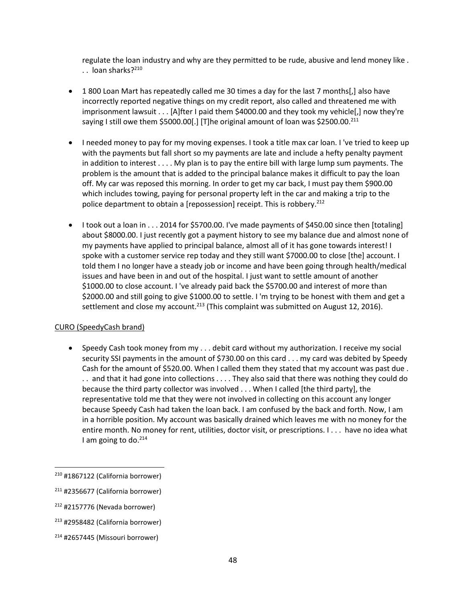regulate the loan industry and why are they permitted to be rude, abusive and lend money like .  $\ldots$  loan sharks?<sup>210</sup>

- 1 800 Loan Mart has repeatedly called me 30 times a day for the last 7 months[,] also have incorrectly reported negative things on my credit report, also called and threatened me with imprisonment lawsuit . . . [A]fter I paid them \$4000.00 and they took my vehicle[,] now they're saying I still owe them \$5000.00[.] [T]he original amount of loan was \$2500.00.<sup>211</sup>
- I needed money to pay for my moving expenses. I took a title max car loan. I 've tried to keep up with the payments but fall short so my payments are late and include a hefty penalty payment in addition to interest . . . . My plan is to pay the entire bill with large lump sum payments. The problem is the amount that is added to the principal balance makes it difficult to pay the loan off. My car was reposed this morning. In order to get my car back, I must pay them \$900.00 which includes towing, paying for personal property left in the car and making a trip to the police department to obtain a [repossession] receipt. This is robbery.<sup>212</sup>
- I took out a loan in . . . 2014 for \$5700.00. I've made payments of \$450.00 since then [totaling] about \$8000.00. I just recently got a payment history to see my balance due and almost none of my payments have applied to principal balance, almost all of it has gone towards interest! I spoke with a customer service rep today and they still want \$7000.00 to close [the] account. I told them I no longer have a steady job or income and have been going through health/medical issues and have been in and out of the hospital. I just want to settle amount of another \$1000.00 to close account. I 've already paid back the \$5700.00 and interest of more than \$2000.00 and still going to give \$1000.00 to settle. I 'm trying to be honest with them and get a settlement and close my account.<sup>213</sup> (This complaint was submitted on August 12, 2016).

#### CURO (SpeedyCash brand)

• Speedy Cash took money from my . . . debit card without my authorization. I receive my social security SSI payments in the amount of \$730.00 on this card . . . my card was debited by Speedy Cash for the amount of \$520.00. When I called them they stated that my account was past due . . . and that it had gone into collections . . . . They also said that there was nothing they could do because the third party collector was involved . . . When I called [the third party], the representative told me that they were not involved in collecting on this account any longer because Speedy Cash had taken the loan back. I am confused by the back and forth. Now, I am in a horrible position. My account was basically drained which leaves me with no money for the entire month. No money for rent, utilities, doctor visit, or prescriptions. I . . . have no idea what I am going to do. $214$ 

<sup>210</sup> #1867122 (California borrower)

 $211$  #2356677 (California borrower)

 $212$  #2157776 (Nevada borrower)

<sup>213</sup> #2958482 (California borrower)

 $214$  #2657445 (Missouri borrower)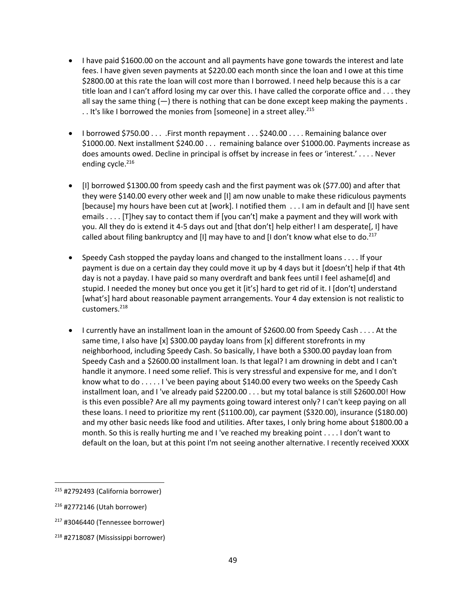- I have paid \$1600.00 on the account and all payments have gone towards the interest and late fees. I have given seven payments at \$220.00 each month since the loan and I owe at this time \$2800.00 at this rate the loan will cost more than I borrowed. I need help because this is a car title loan and I can't afford losing my car over this. I have called the corporate office and . . . they all say the same thing  $(-)$  there is nothing that can be done except keep making the payments. . . It's like I borrowed the monies from [someone] in a street alley.<sup>215</sup>
- I borrowed \$750.00 . . . . First month repayment . . . \$240.00 . . . . Remaining balance over \$1000.00. Next installment \$240.00 . . . remaining balance over \$1000.00. Payments increase as does amounts owed. Decline in principal is offset by increase in fees or 'interest.' . . . . Never ending cycle. $216$
- [I] borrowed \$1300.00 from speedy cash and the first payment was ok (\$77.00) and after that they were \$140.00 every other week and [I] am now unable to make these ridiculous payments [because] my hours have been cut at [work]. I notified them . . . I am in default and [I] have sent emails . . . . [T]hey say to contact them if [you can't] make a payment and they will work with you. All they do is extend it 4-5 days out and [that don't] help either! I am desperate[, I] have called about filing bankruptcy and [I] may have to and [I don't know what else to do.<sup>217</sup>
- Speedy Cash stopped the payday loans and changed to the installment loans . . . . If your payment is due on a certain day they could move it up by 4 days but it [doesn't] help if that 4th day is not a payday. I have paid so many overdraft and bank fees until I feel ashame[d] and stupid. I needed the money but once you get it [it's] hard to get rid of it. I [don't] understand [what's] hard about reasonable payment arrangements. Your 4 day extension is not realistic to customers.<sup>218</sup>
- I currently have an installment loan in the amount of \$2600.00 from Speedy Cash . . . . At the same time, I also have [x] \$300.00 payday loans from [x] different storefronts in my neighborhood, including Speedy Cash. So basically, I have both a \$300.00 payday loan from Speedy Cash and a \$2600.00 installment loan. Is that legal? I am drowning in debt and I can't handle it anymore. I need some relief. This is very stressful and expensive for me, and I don't know what to do . . . . . I 've been paying about \$140.00 every two weeks on the Speedy Cash installment loan, and I 've already paid \$2200.00 . . . but my total balance is still \$2600.00! How is this even possible? Are all my payments going toward interest only? I can't keep paying on all these loans. I need to prioritize my rent (\$1100.00), car payment (\$320.00), insurance (\$180.00) and my other basic needs like food and utilities. After taxes, I only bring home about \$1800.00 a month. So this is really hurting me and I 've reached my breaking point . . . . I don't want to default on the loan, but at this point I'm not seeing another alternative. I recently received XXXX

<sup>215</sup> #2792493 (California borrower)

<sup>216</sup> #2772146 (Utah borrower)

 $217$  #3046440 (Tennessee borrower)

<sup>&</sup>lt;sup>218</sup> #2718087 (Mississippi borrower)